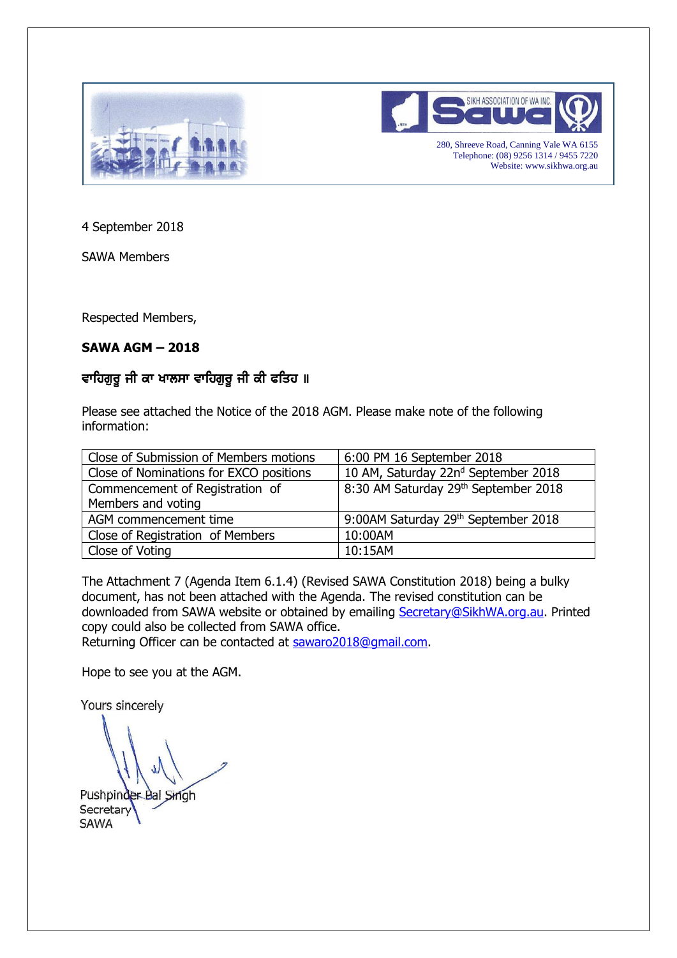



280, Shreeve Road, Canning Vale WA 6155 Telephone: (08) 9256 1314 / 9455 7220 Website: www.sikhwa.org.au

4 September 2018

SAWA Members

Respected Members,

### **SAWA AGM – 2018**

## ਵਾਹਿਗੁਰੂ ਜੀ ਕਾ ਖਾਲਸਾ ਵਾਹਿਗੁਰੂ ਜੀ ਕੀ ਫਤਿਹ ॥

Please see attached the Notice of the 2018 AGM. Please make note of the following information:

| Close of Submission of Members motions  | 6:00 PM 16 September 2018            |
|-----------------------------------------|--------------------------------------|
| Close of Nominations for EXCO positions | 10 AM, Saturday 22nd September 2018  |
| Commencement of Registration of         | 8:30 AM Saturday 29th September 2018 |
| Members and voting                      |                                      |
| AGM commencement time                   | 9:00AM Saturday 29th September 2018  |
| Close of Registration of Members        | 10:00AM                              |
| Close of Voting                         | 10:15AM                              |

The Attachment 7 (Agenda Item 6.1.4) (Revised SAWA Constitution 2018) being a bulky document, has not been attached with the Agenda. The revised constitution can be downloaded from SAWA website or obtained by emailing [Secretary@SikhWA.org.au.](mailto:Secretary@SikhWA.org.au) Printed copy could also be collected from SAWA office.

Returning Officer can be contacted at [sawaro2018@gmail.com.](mailto:sawaro2018@gmail.com)

Hope to see you at the AGM.

Yours sincerely

Pushpinder Bal Singh **Secretary** SAWA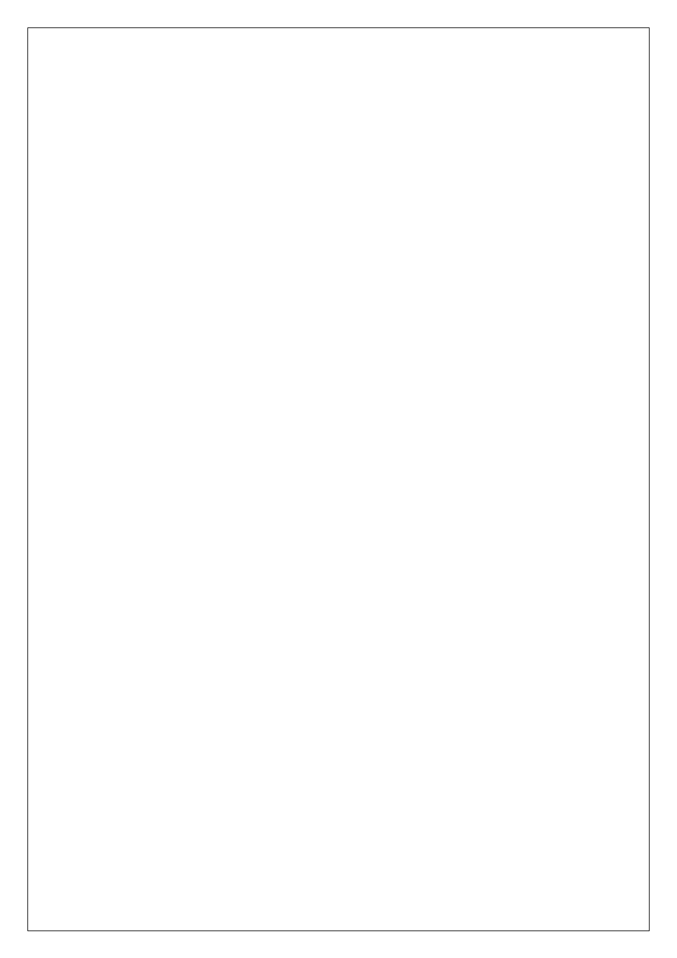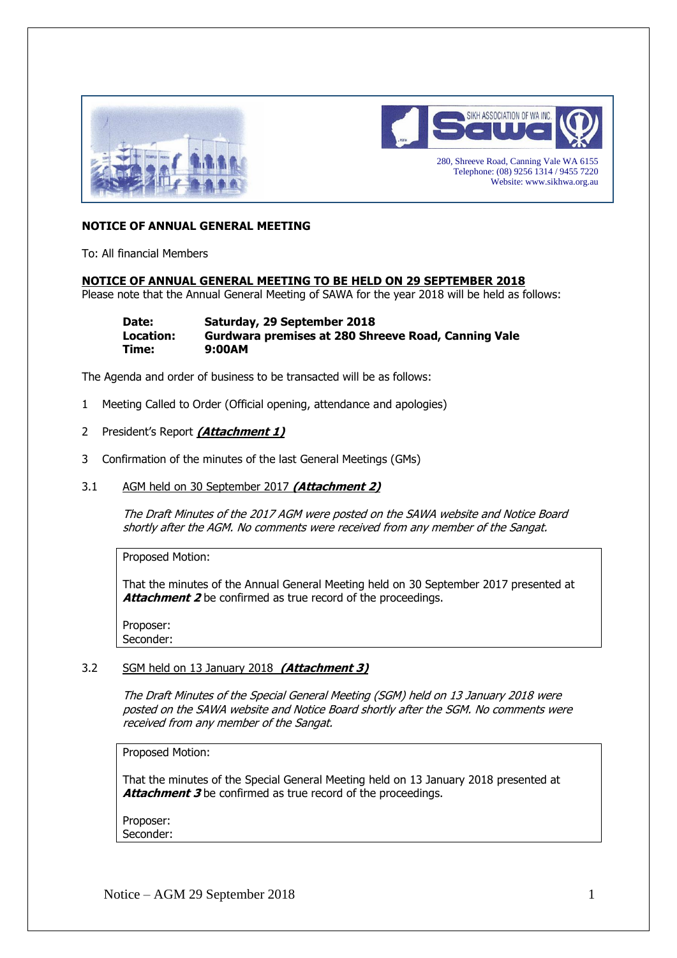



### **NOTICE OF ANNUAL GENERAL MEETING**

To: All financial Members

### **NOTICE OF ANNUAL GENERAL MEETING TO BE HELD ON 29 SEPTEMBER 2018**

Please note that the Annual General Meeting of SAWA for the year 2018 will be held as follows:

**Date: Saturday, 29 September 2018 Location: Gurdwara premises at 280 Shreeve Road, Canning Vale Time: 9:00AM**

The Agenda and order of business to be transacted will be as follows:

- 1 Meeting Called to Order (Official opening, attendance and apologies)
- 2 President's Report **(Attachment 1)**
- 3 Confirmation of the minutes of the last General Meetings (GMs)
- 3.1 AGM held on 30 September 2017 **(Attachment 2)**

The Draft Minutes of the 2017 AGM were posted on the SAWA website and Notice Board shortly after the AGM. No comments were received from any member of the Sangat.

Proposed Motion:

That the minutes of the Annual General Meeting held on 30 September 2017 presented at **Attachment 2** be confirmed as true record of the proceedings.

Proposer: Seconder:

### 3.2 SGM held on 13 January 2018 **(Attachment 3)**

The Draft Minutes of the Special General Meeting (SGM) held on 13 January 2018 were posted on the SAWA website and Notice Board shortly after the SGM. No comments were received from any member of the Sangat.

Proposed Motion:

That the minutes of the Special General Meeting held on 13 January 2018 presented at Attachment 3 be confirmed as true record of the proceedings.

Proposer: Seconder: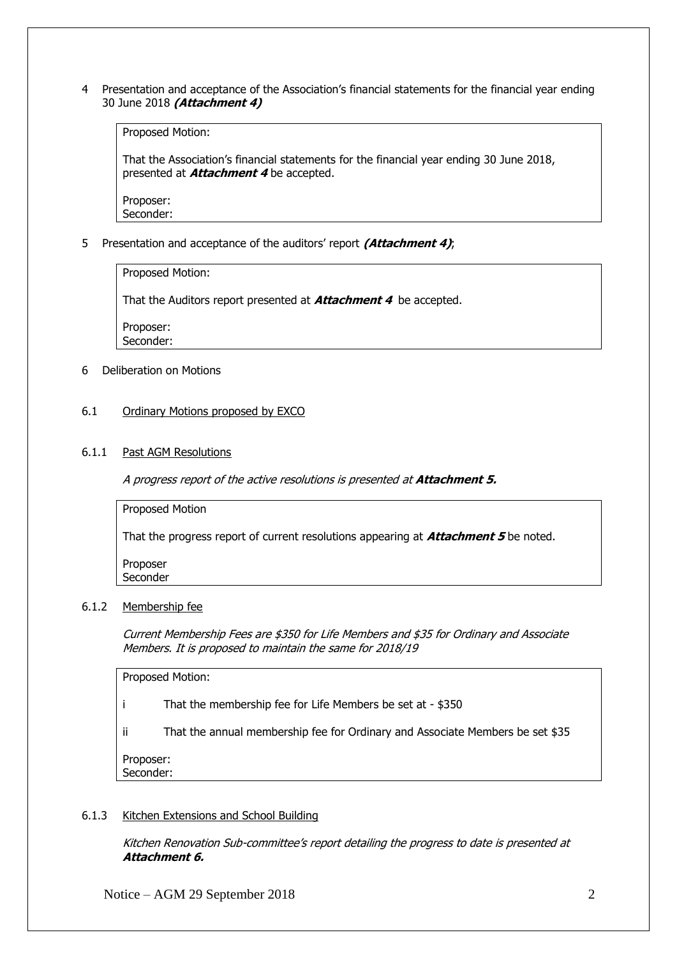4 Presentation and acceptance of the Association's financial statements for the financial year ending 30 June 2018 **(Attachment 4)**

Proposed Motion:

That the Association's financial statements for the financial year ending 30 June 2018, presented at **Attachment 4** be accepted.

Proposer: Seconder:

5 Presentation and acceptance of the auditors' report **(Attachment 4)**;

Proposed Motion:

That the Auditors report presented at **Attachment 4** be accepted.

Proposer: Seconder:

### 6 Deliberation on Motions

### 6.1 Ordinary Motions proposed by EXCO

### 6.1.1 Past AGM Resolutions

A progress report of the active resolutions is presented at **Attachment 5.**

| <b>Proposed Motion</b>                                                                     |
|--------------------------------------------------------------------------------------------|
| That the progress report of current resolutions appearing at <b>Attachment 5</b> be noted. |
| Proposer<br>Seconder                                                                       |

#### 6.1.2 Membership fee

Current Membership Fees are \$350 for Life Members and \$35 for Ordinary and Associate Members. It is proposed to maintain the same for 2018/19

Proposed Motion:

i That the membership fee for Life Members be set at - \$350

ii That the annual membership fee for Ordinary and Associate Members be set \$35

Proposer: Seconder:

### 6.1.3 Kitchen Extensions and School Building

Kitchen Renovation Sub-committee's report detailing the progress to date is presented at **Attachment 6.**

Notice – AGM 29 September 2018 2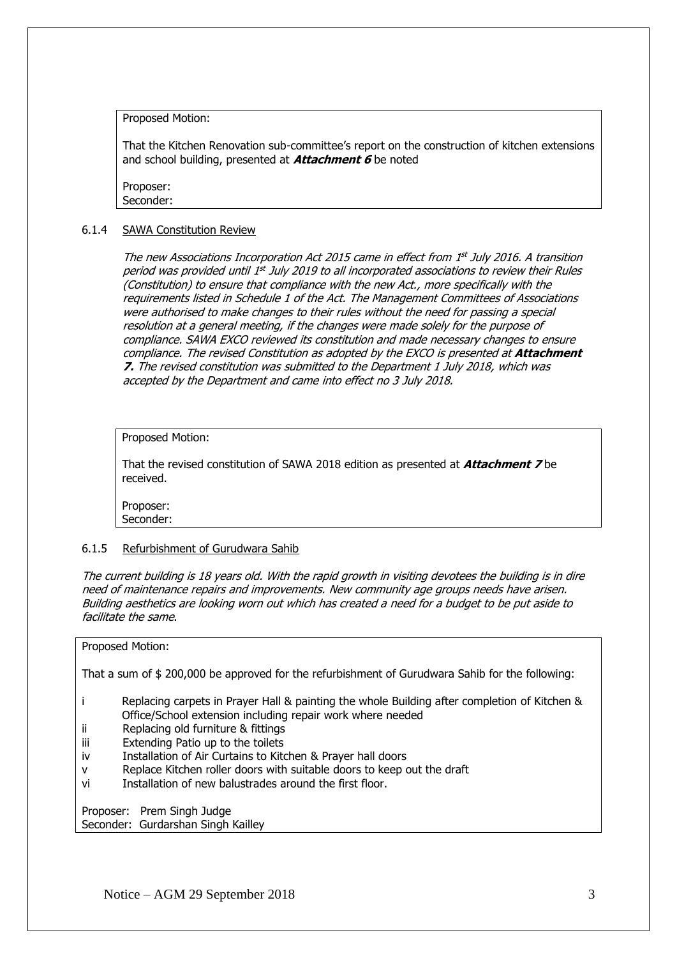Proposed Motion:

That the Kitchen Renovation sub-committee's report on the construction of kitchen extensions and school building, presented at **Attachment 6** be noted

Proposer: Seconder:

### 6.1.4 SAWA Constitution Review

The new Associations Incorporation Act 2015 came in effect from  $1^{st}$  July 2016. A transition period was provided until 1st July 2019 to all incorporated associations to review their Rules (Constitution) to ensure that compliance with the new Act., more specifically with the requirements listed in Schedule 1 of the Act. The Management Committees of Associations were authorised to make changes to their rules without the need for passing a special resolution at a general meeting, if the changes were made solely for the purpose of compliance. SAWA EXCO reviewed its constitution and made necessary changes to ensure compliance. The revised Constitution as adopted by the EXCO is presented at **Attachment 7.** The revised constitution was submitted to the Department 1 July 2018, which was accepted by the Department and came into effect no 3 July 2018.

Proposed Motion:

That the revised constitution of SAWA 2018 edition as presented at **Attachment 7** be received.

Proposer: Seconder:

### 6.1.5 Refurbishment of Gurudwara Sahib

The current building is 18 years old. With the rapid growth in visiting devotees the building is in dire need of maintenance repairs and improvements. New community age groups needs have arisen. Building aesthetics are looking worn out which has created a need for a budget to be put aside to facilitate the same.

### Proposed Motion:

That a sum of \$ 200,000 be approved for the refurbishment of Gurudwara Sahib for the following:

- i Replacing carpets in Prayer Hall & painting the whole Building after completion of Kitchen & Office/School extension including repair work where needed
- ii Replacing old furniture & fittings
- iii Extending Patio up to the toilets
- iv Installation of Air Curtains to Kitchen & Prayer hall doors
- v Replace Kitchen roller doors with suitable doors to keep out the draft
- vi Installation of new balustrades around the first floor.

Proposer: Prem Singh Judge Seconder: Gurdarshan Singh Kailley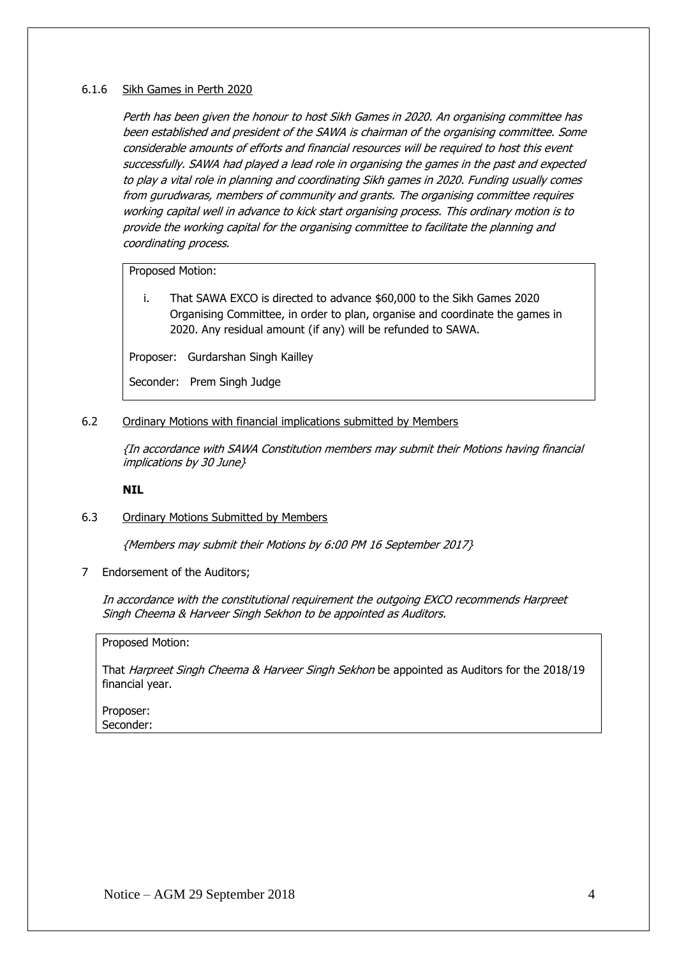### 6.1.6 Sikh Games in Perth 2020

Perth has been given the honour to host Sikh Games in 2020. An organising committee has been established and president of the SAWA is chairman of the organising committee. Some considerable amounts of efforts and financial resources will be required to host this event successfully. SAWA had played a lead role in organising the games in the past and expected to play a vital role in planning and coordinating Sikh games in 2020. Funding usually comes from gurudwaras, members of community and grants. The organising committee requires working capital well in advance to kick start organising process. This ordinary motion is to provide the working capital for the organising committee to facilitate the planning and coordinating process.

Proposed Motion:

i. That SAWA EXCO is directed to advance \$60,000 to the Sikh Games 2020 Organising Committee, in order to plan, organise and coordinate the games in 2020. Any residual amount (if any) will be refunded to SAWA.

Proposer: Gurdarshan Singh Kailley

Seconder: Prem Singh Judge

### 6.2 Ordinary Motions with financial implications submitted by Members

{In accordance with SAWA Constitution members may submit their Motions having financial implications by 30 June}

**NIL**

### 6.3 Ordinary Motions Submitted by Members

{Members may submit their Motions by 6:00 PM 16 September 2017}

7 Endorsement of the Auditors;

In accordance with the constitutional requirement the outgoing EXCO recommends Harpreet Singh Cheema & Harveer Singh Sekhon to be appointed as Auditors.

### Proposed Motion:

That Harpreet Singh Cheema & Harveer Singh Sekhon be appointed as Auditors for the 2018/19 financial year.

Proposer: Seconder: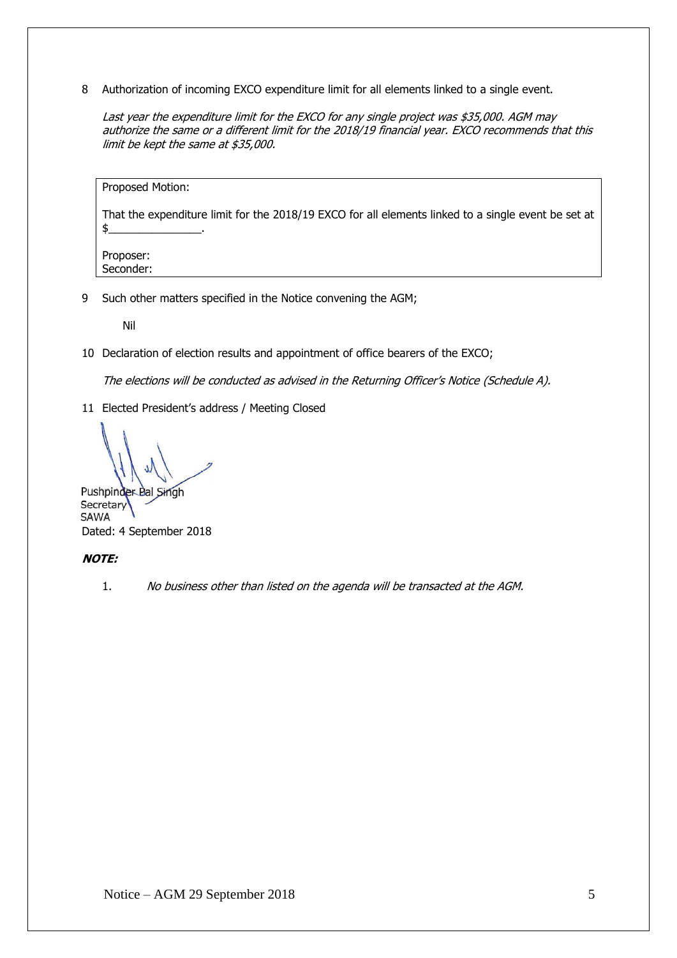8 Authorization of incoming EXCO expenditure limit for all elements linked to a single event.

Last year the expenditure limit for the EXCO for any single project was \$35,000. AGM may authorize the same or a different limit for the 2018/19 financial year. EXCO recommends that this limit be kept the same at \$35,000.

Proposed Motion: That the expenditure limit for the 2018/19 EXCO for all elements linked to a single event be set at  $\$$  \_\_\_\_\_\_\_\_\_\_\_\_\_\_\_\_\_\_\_\_\_. Proposer: Seconder: 9 Such other matters specified in the Notice convening the AGM;

- Nil
- 10 Declaration of election results and appointment of office bearers of the EXCO;

The elections will be conducted as advised in the Returning Officer's Notice (Schedule A).

11 Elected President's address / Meeting Closed

Pushpinder Bal Singh **Secretary** SAWA Dated: 4 September 2018

### **NOTE:**

1. No business other than listed on the agenda will be transacted at the AGM.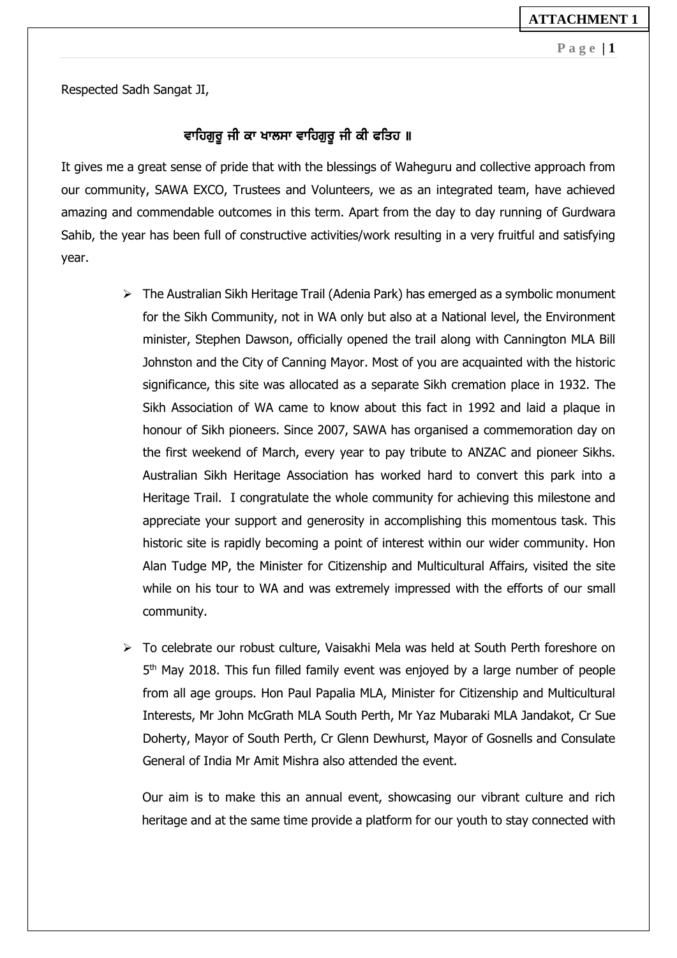Respected Sadh Sangat JI,

# ਵਾਹਿਗੁਰੂ ਜੀ ਕਾ ਖਾਲਸਾ ਵਾਹਿਗੁਰੂ ਜੀ ਕੀ ਫਤਿਹ ॥

It gives me a great sense of pride that with the blessings of Waheguru and collective approach from our community, SAWA EXCO, Trustees and Volunteers, we as an integrated team, have achieved amazing and commendable outcomes in this term. Apart from the day to day running of Gurdwara Sahib, the year has been full of constructive activities/work resulting in a very fruitful and satisfying year.

- ➢ The Australian Sikh Heritage Trail (Adenia Park) has emerged as a symbolic monument for the Sikh Community, not in WA only but also at a National level, the Environment minister, Stephen Dawson, officially opened the trail along with Cannington MLA Bill Johnston and the City of Canning Mayor. Most of you are acquainted with the historic significance, this site was allocated as a separate Sikh cremation place in 1932. The Sikh Association of WA came to know about this fact in 1992 and laid a plaque in honour of Sikh pioneers. Since 2007, SAWA has organised a commemoration day on the first weekend of March, every year to pay tribute to ANZAC and pioneer Sikhs. Australian Sikh Heritage Association has worked hard to convert this park into a Heritage Trail. I congratulate the whole community for achieving this milestone and appreciate your support and generosity in accomplishing this momentous task. This historic site is rapidly becoming a point of interest within our wider community. Hon Alan Tudge MP, the Minister for Citizenship and Multicultural Affairs, visited the site while on his tour to WA and was extremely impressed with the efforts of our small community.
- ➢ To celebrate our robust culture, Vaisakhi Mela was held at South Perth foreshore on 5<sup>th</sup> May 2018. This fun filled family event was enjoyed by a large number of people from all age groups. Hon Paul Papalia MLA, Minister for Citizenship and Multicultural Interests, Mr John McGrath MLA South Perth, Mr Yaz Mubaraki MLA Jandakot, Cr Sue Doherty, Mayor of South Perth, Cr Glenn Dewhurst, Mayor of Gosnells and Consulate General of India Mr Amit Mishra also attended the event.

Our aim is to make this an annual event, showcasing our vibrant culture and rich heritage and at the same time provide a platform for our youth to stay connected with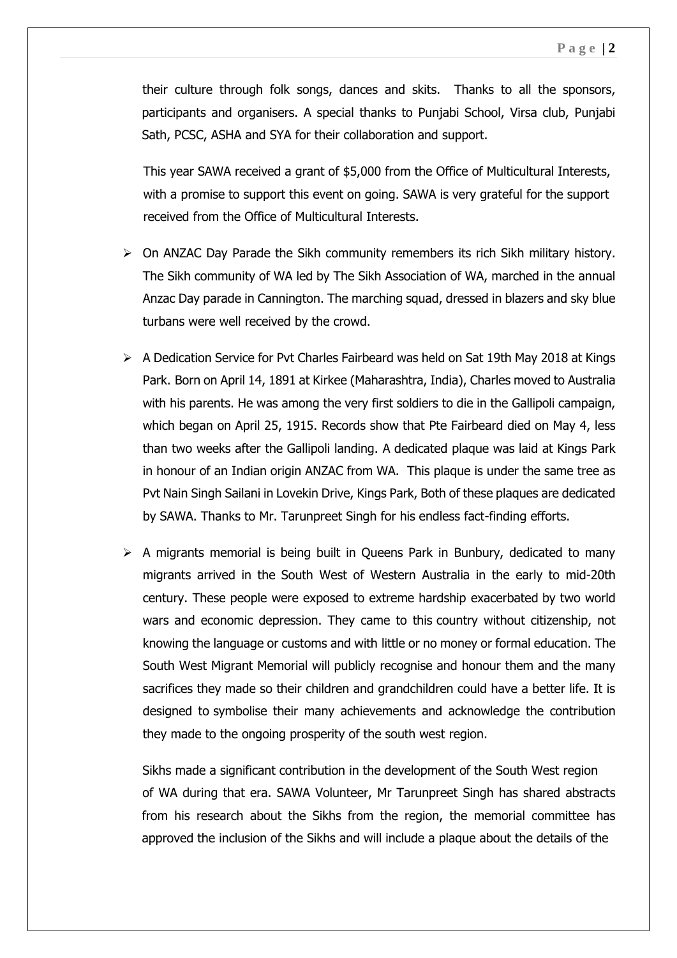their culture through folk songs, dances and skits. Thanks to all the sponsors, participants and organisers. A special thanks to Punjabi School, Virsa club, Punjabi Sath, PCSC, ASHA and SYA for their collaboration and support.

This year SAWA received a grant of \$5,000 from the Office of Multicultural Interests, with a promise to support this event on going. SAWA is very grateful for the support received from the Office of Multicultural Interests.

- ➢ On ANZAC Day Parade the Sikh community remembers its rich Sikh military history. The Sikh community of WA led by The Sikh Association of WA, marched in the annual Anzac Day parade in Cannington. The marching squad, dressed in blazers and sky blue turbans were well received by the crowd.
- $\triangleright$  A Dedication Service for Pvt Charles Fairbeard was held on Sat 19th May 2018 at Kings Park. Born on April 14, 1891 at Kirkee (Maharashtra, India), Charles moved to Australia with his parents. He was among the very first soldiers to die in the Gallipoli campaign, which began on April 25, 1915. Records show that Pte Fairbeard died on May 4, less than two weeks after the Gallipoli landing. A dedicated plaque was laid at Kings Park in honour of an Indian origin ANZAC from WA. This plaque is under the same tree as Pvt Nain Singh Sailani in Lovekin Drive, Kings Park, Both of these plaques are dedicated by SAWA. Thanks to Mr. Tarunpreet Singh for his endless fact-finding efforts.
- $\triangleright$  A migrants memorial is being built in Queens Park in Bunbury, dedicated to many migrants arrived in the South West of Western Australia in the early to mid-20th century. These people were exposed to extreme hardship exacerbated by two world wars and economic depression. They came to this country without citizenship, not knowing the language or customs and with little or no money or formal education. The South West Migrant Memorial will publicly recognise and honour them and the many sacrifices they made so their children and grandchildren could have a better life. It is designed to symbolise their many achievements and acknowledge the contribution they made to the ongoing prosperity of the south west region.

Sikhs made a significant contribution in the development of the South West region of WA during that era. SAWA Volunteer, Mr Tarunpreet Singh has shared abstracts from his research about the Sikhs from the region, the memorial committee has approved the inclusion of the Sikhs and will include a plaque about the details of the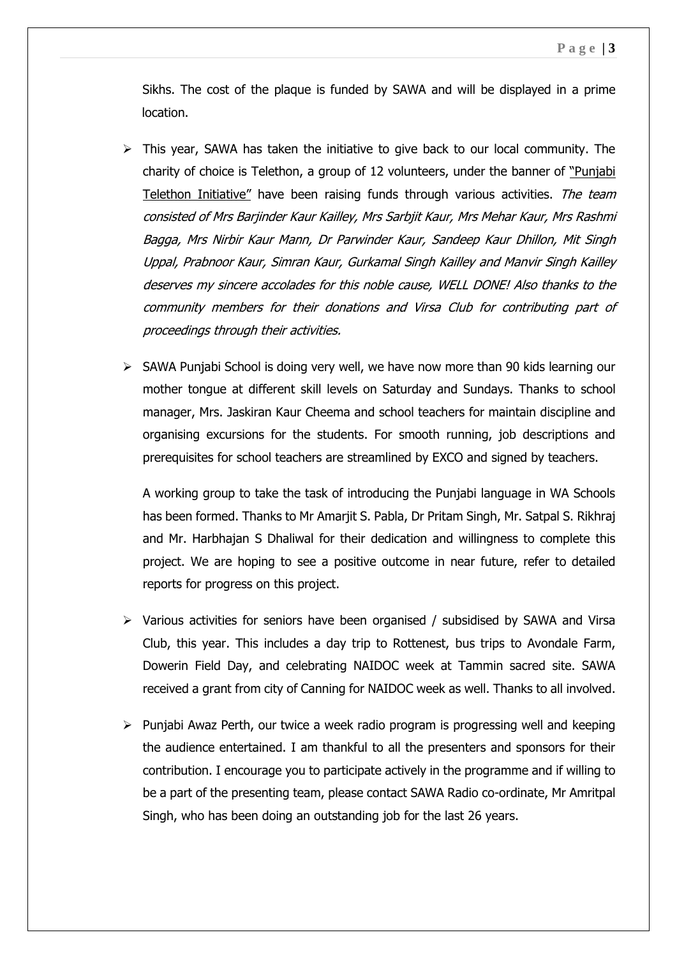Sikhs. The cost of the plaque is funded by SAWA and will be displayed in a prime location.

- $\triangleright$  This year, SAWA has taken the initiative to give back to our local community. The charity of choice is Telethon, a group of 12 volunteers, under the banner of "Punjabi Telethon Initiative" have been raising funds through various activities. The team consisted of Mrs Barjinder Kaur Kailley, Mrs Sarbjit Kaur, Mrs Mehar Kaur, Mrs Rashmi Bagga, Mrs Nirbir Kaur Mann, Dr Parwinder Kaur, Sandeep Kaur Dhillon, Mit Singh Uppal, Prabnoor Kaur, Simran Kaur, Gurkamal Singh Kailley and Manvir Singh Kailley deserves my sincere accolades for this noble cause, WELL DONE! Also thanks to the community members for their donations and Virsa Club for contributing part of proceedings through their activities.
- ➢ SAWA Punjabi School is doing very well, we have now more than 90 kids learning our mother tongue at different skill levels on Saturday and Sundays. Thanks to school manager, Mrs. Jaskiran Kaur Cheema and school teachers for maintain discipline and organising excursions for the students. For smooth running, job descriptions and prerequisites for school teachers are streamlined by EXCO and signed by teachers.

A working group to take the task of introducing the Punjabi language in WA Schools has been formed. Thanks to Mr Amarjit S. Pabla, Dr Pritam Singh, Mr. Satpal S. Rikhraj and Mr. Harbhajan S Dhaliwal for their dedication and willingness to complete this project. We are hoping to see a positive outcome in near future, refer to detailed reports for progress on this project.

- ➢ Various activities for seniors have been organised / subsidised by SAWA and Virsa Club, this year. This includes a day trip to Rottenest, bus trips to Avondale Farm, Dowerin Field Day, and celebrating NAIDOC week at Tammin sacred site. SAWA received a grant from city of Canning for NAIDOC week as well. Thanks to all involved.
- $\triangleright$  Punjabi Awaz Perth, our twice a week radio program is progressing well and keeping the audience entertained. I am thankful to all the presenters and sponsors for their contribution. I encourage you to participate actively in the programme and if willing to be a part of the presenting team, please contact SAWA Radio co-ordinate, Mr Amritpal Singh, who has been doing an outstanding job for the last 26 years.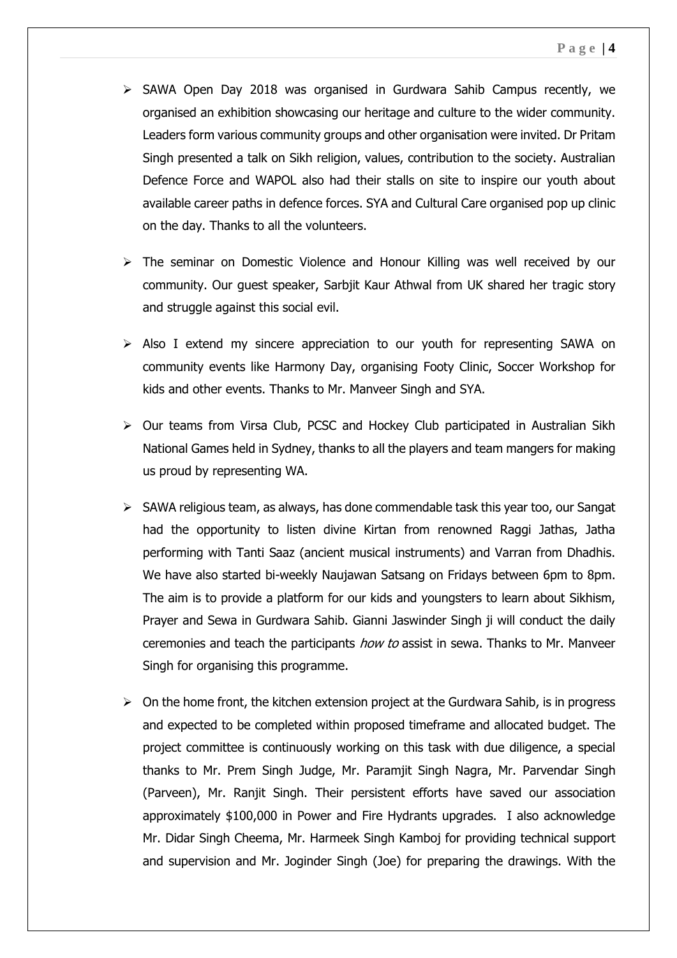- ➢ SAWA Open Day 2018 was organised in Gurdwara Sahib Campus recently, we organised an exhibition showcasing our heritage and culture to the wider community. Leaders form various community groups and other organisation were invited. Dr Pritam Singh presented a talk on Sikh religion, values, contribution to the society. Australian Defence Force and WAPOL also had their stalls on site to inspire our youth about available career paths in defence forces. SYA and Cultural Care organised pop up clinic on the day. Thanks to all the volunteers.
- ➢ The seminar on Domestic Violence and Honour Killing was well received by our community. Our guest speaker, Sarbjit Kaur Athwal from UK shared her tragic story and struggle against this social evil.
- ➢ Also I extend my sincere appreciation to our youth for representing SAWA on community events like Harmony Day, organising Footy Clinic, Soccer Workshop for kids and other events. Thanks to Mr. Manveer Singh and SYA.
- ➢ Our teams from Virsa Club, PCSC and Hockey Club participated in Australian Sikh National Games held in Sydney, thanks to all the players and team mangers for making us proud by representing WA.
- ➢ SAWA religious team, as always, has done commendable task this year too, our Sangat had the opportunity to listen divine Kirtan from renowned Raggi Jathas, Jatha performing with Tanti Saaz (ancient musical instruments) and Varran from Dhadhis. We have also started bi-weekly Naujawan Satsang on Fridays between 6pm to 8pm. The aim is to provide a platform for our kids and youngsters to learn about Sikhism, Prayer and Sewa in Gurdwara Sahib. Gianni Jaswinder Singh ji will conduct the daily ceremonies and teach the participants *how to* assist in sewa. Thanks to Mr. Manyeer Singh for organising this programme.
- $\triangleright$  On the home front, the kitchen extension project at the Gurdwara Sahib, is in progress and expected to be completed within proposed timeframe and allocated budget. The project committee is continuously working on this task with due diligence, a special thanks to Mr. Prem Singh Judge, Mr. Paramjit Singh Nagra, Mr. Parvendar Singh (Parveen), Mr. Ranjit Singh. Their persistent efforts have saved our association approximately \$100,000 in Power and Fire Hydrants upgrades. I also acknowledge Mr. Didar Singh Cheema, Mr. Harmeek Singh Kamboj for providing technical support and supervision and Mr. Joginder Singh (Joe) for preparing the drawings. With the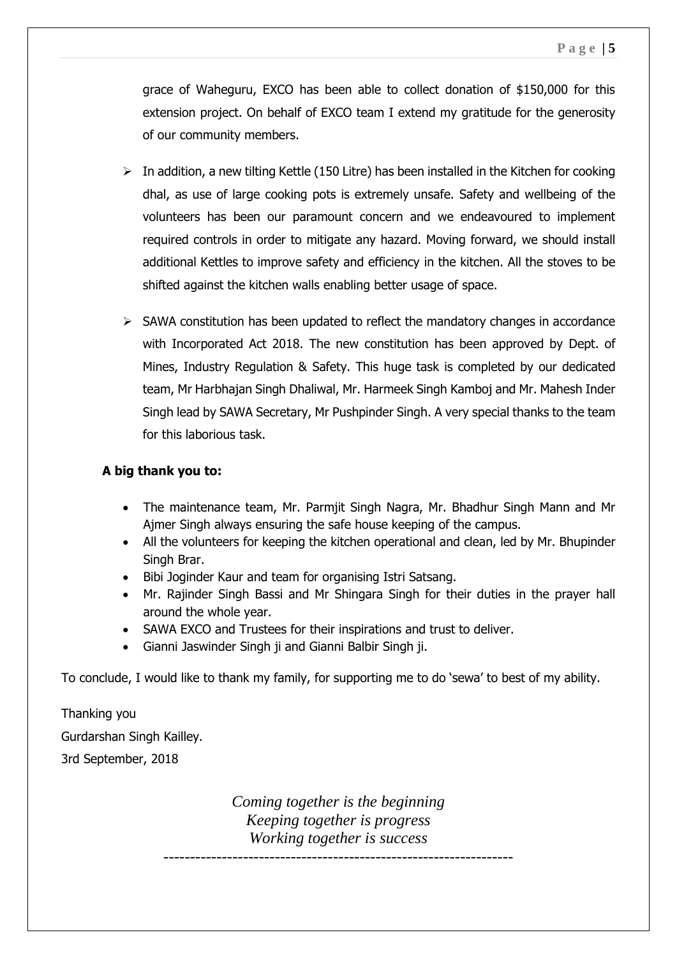grace of Waheguru, EXCO has been able to collect donation of \$150,000 for this extension project. On behalf of EXCO team I extend my gratitude for the generosity of our community members.

- $\triangleright$  In addition, a new tilting Kettle (150 Litre) has been installed in the Kitchen for cooking dhal, as use of large cooking pots is extremely unsafe. Safety and wellbeing of the volunteers has been our paramount concern and we endeavoured to implement required controls in order to mitigate any hazard. Moving forward, we should install additional Kettles to improve safety and efficiency in the kitchen. All the stoves to be shifted against the kitchen walls enabling better usage of space.
- $\triangleright$  SAWA constitution has been updated to reflect the mandatory changes in accordance with Incorporated Act 2018. The new constitution has been approved by Dept. of Mines, Industry Regulation & Safety. This huge task is completed by our dedicated team, Mr Harbhajan Singh Dhaliwal, Mr. Harmeek Singh Kamboj and Mr. Mahesh Inder Singh lead by SAWA Secretary, Mr Pushpinder Singh. A very special thanks to the team for this laborious task.

### **A big thank you to:**

- The maintenance team, Mr. Parmjit Singh Nagra, Mr. Bhadhur Singh Mann and Mr Ajmer Singh always ensuring the safe house keeping of the campus.
- All the volunteers for keeping the kitchen operational and clean, led by Mr. Bhupinder Singh Brar.
- Bibi Joginder Kaur and team for organising Istri Satsang.
- Mr. Rajinder Singh Bassi and Mr Shingara Singh for their duties in the prayer hall around the whole year.
- SAWA EXCO and Trustees for their inspirations and trust to deliver.
- Gianni Jaswinder Singh ji and Gianni Balbir Singh ji.

To conclude, I would like to thank my family, for supporting me to do 'sewa' to best of my ability.

Thanking you Gurdarshan Singh Kailley. 3rd September, 2018

> *Coming together is the beginning Keeping together is progress Working together is success* ------------------------------------------------------------------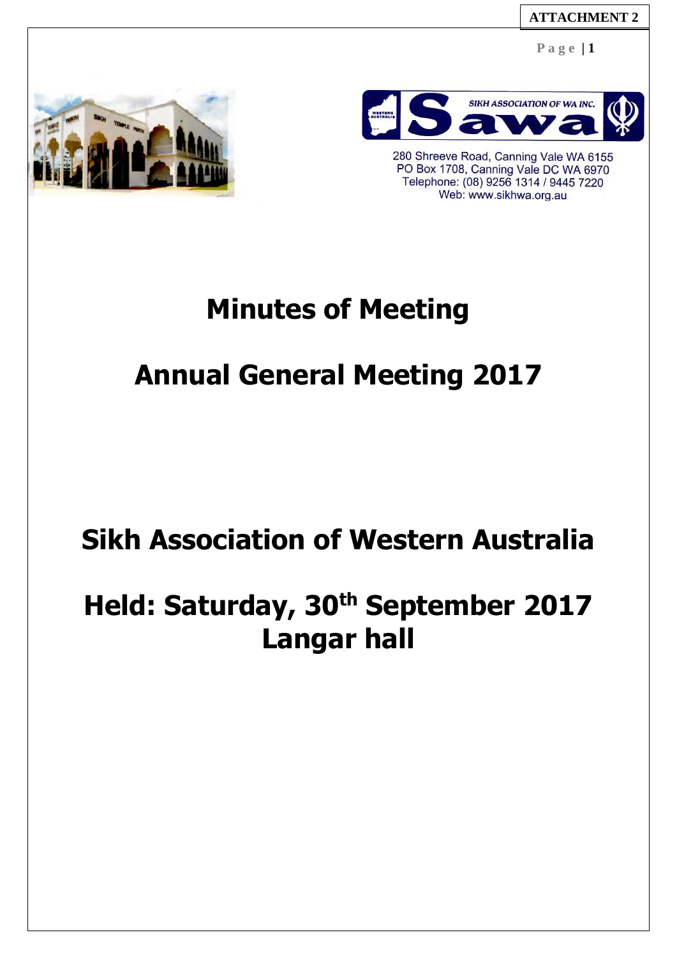## **ATTACHMENT 2**

**P a g e | 1**



280 Shreeve Road, Canning Vale WA 6155 PO Box 1708, Canning Vale DC WA 6970 Telephone: (08) 9256 1314 / 9445 7220 Web: www.sikhwa.org.au

# **Minutes of Meeting**

# **Annual General Meeting 2017**

# **Sikh Association of Western Australia**

# **Held: Saturday, 30th September 2017 Langar hall**

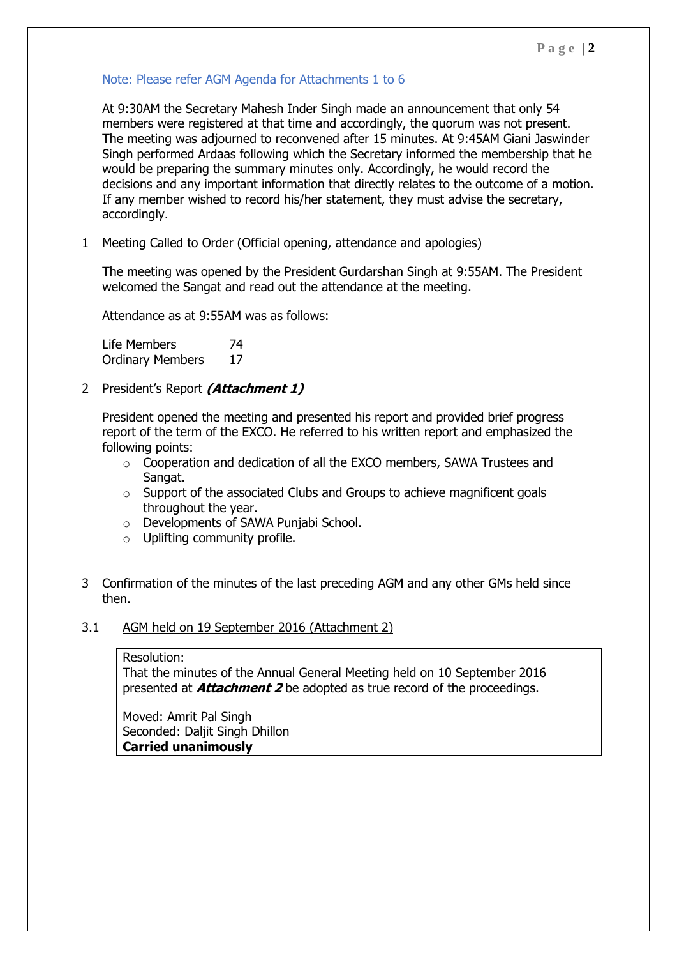### Note: Please refer AGM Agenda for Attachments 1 to 6

At 9:30AM the Secretary Mahesh Inder Singh made an announcement that only 54 members were registered at that time and accordingly, the quorum was not present. The meeting was adjourned to reconvened after 15 minutes. At 9:45AM Giani Jaswinder Singh performed Ardaas following which the Secretary informed the membership that he would be preparing the summary minutes only. Accordingly, he would record the decisions and any important information that directly relates to the outcome of a motion. If any member wished to record his/her statement, they must advise the secretary, accordingly.

1 Meeting Called to Order (Official opening, attendance and apologies)

The meeting was opened by the President Gurdarshan Singh at 9:55AM. The President welcomed the Sangat and read out the attendance at the meeting.

Attendance as at 9:55AM was as follows:

Life Members 74 Ordinary Members 17

2 President's Report **(Attachment 1)**

President opened the meeting and presented his report and provided brief progress report of the term of the EXCO. He referred to his written report and emphasized the following points:

- $\circ$  Cooperation and dedication of all the EXCO members, SAWA Trustees and Sangat.
- $\circ$  Support of the associated Clubs and Groups to achieve magnificent goals throughout the year.
- o Developments of SAWA Punjabi School.
- o Uplifting community profile.
- 3 Confirmation of the minutes of the last preceding AGM and any other GMs held since then.
- 3.1 AGM held on 19 September 2016 (Attachment 2)

Resolution: That the minutes of the Annual General Meeting held on 10 September 2016 presented at **Attachment 2** be adopted as true record of the proceedings.

Moved: Amrit Pal Singh Seconded: Daljit Singh Dhillon **Carried unanimously**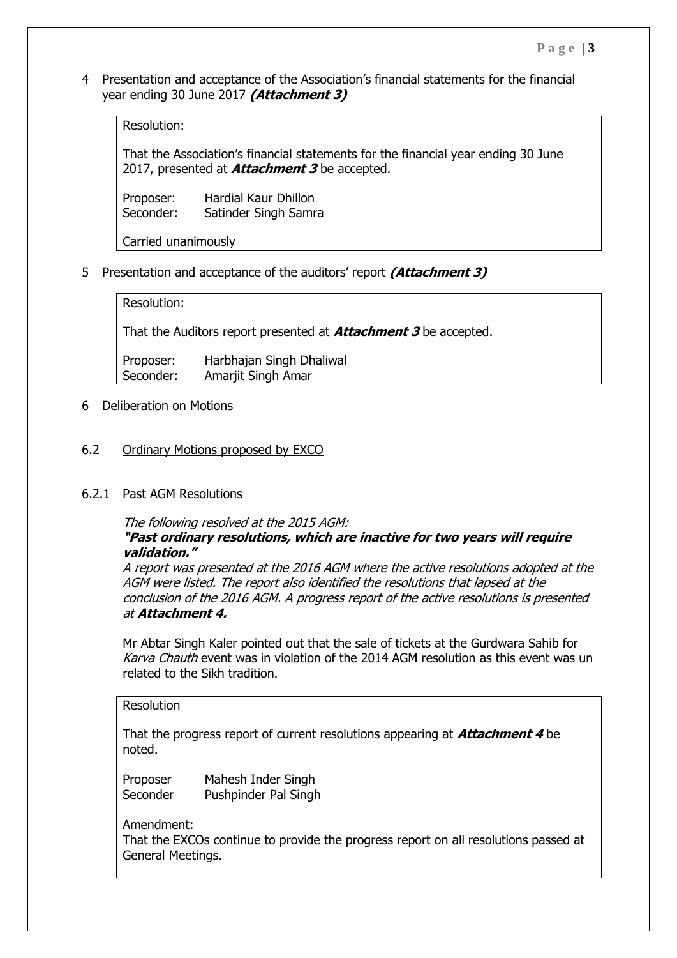4 Presentation and acceptance of the Association's financial statements for the financial year ending 30 June 2017 **(Attachment 3)**

Resolution:

That the Association's financial statements for the financial year ending 30 June 2017, presented at **Attachment 3** be accepted.

Proposer: Hardial Kaur Dhillon Seconder: Satinder Singh Samra

Carried unanimously

5 Presentation and acceptance of the auditors' report **(Attachment 3)**

Resolution: That the Auditors report presented at **Attachment 3** be accepted. Proposer: Harbhajan Singh Dhaliwal Seconder: Amarjit Singh Amar

6 Deliberation on Motions

### 6.2 Ordinary Motions proposed by EXCO

6.2.1 Past AGM Resolutions

The following resolved at the 2015 AGM: **"Past ordinary resolutions, which are inactive for two years will require validation."**

A report was presented at the 2016 AGM where the active resolutions adopted at the AGM were listed. The report also identified the resolutions that lapsed at the conclusion of the 2016 AGM. A progress report of the active resolutions is presented at **Attachment 4.**

Mr Abtar Singh Kaler pointed out that the sale of tickets at the Gurdwara Sahib for Karva Chauth event was in violation of the 2014 AGM resolution as this event was un related to the Sikh tradition.

Resolution

That the progress report of current resolutions appearing at **Attachment 4** be noted.

Proposer Mahesh Inder Singh Seconder Pushpinder Pal Singh

Amendment:

That the EXCOs continue to provide the progress report on all resolutions passed at General Meetings.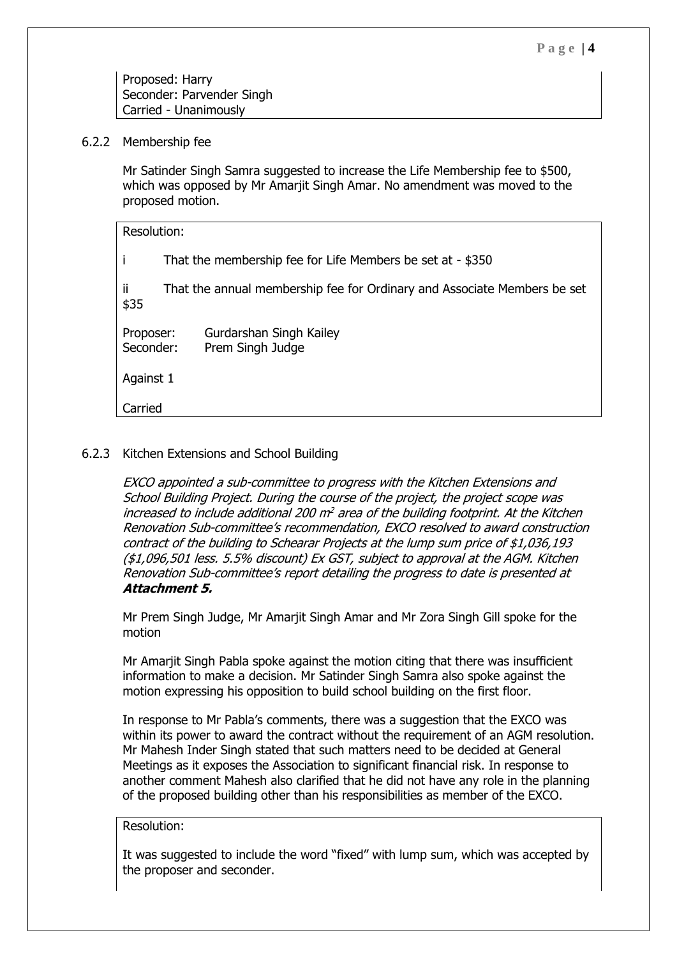Proposed: Harry Seconder: Parvender Singh Carried - Unanimously

6.2.2 Membership fee

Mr Satinder Singh Samra suggested to increase the Life Membership fee to \$500, which was opposed by Mr Amarjit Singh Amar. No amendment was moved to the proposed motion.

| Resolution:            |  |                                                                          |
|------------------------|--|--------------------------------------------------------------------------|
| $\mathbf{I}$           |  | That the membership fee for Life Members be set at - \$350               |
| Ϊİ<br>\$35             |  | That the annual membership fee for Ordinary and Associate Members be set |
| Proposer:<br>Seconder: |  | Gurdarshan Singh Kailey<br>Prem Singh Judge                              |
| Against 1              |  |                                                                          |
| Carried                |  |                                                                          |

### 6.2.3 Kitchen Extensions and School Building

EXCO appointed a sub-committee to progress with the Kitchen Extensions and School Building Project. During the course of the project, the project scope was increased to include additional 200  $m<sup>2</sup>$  area of the building footprint. At the Kitchen Renovation Sub-committee's recommendation, EXCO resolved to award construction contract of the building to Schearar Projects at the lump sum price of \$1,036,193 (\$1,096,501 less. 5.5% discount) Ex GST, subject to approval at the AGM. Kitchen Renovation Sub-committee's report detailing the progress to date is presented at **Attachment 5.**

Mr Prem Singh Judge, Mr Amarjit Singh Amar and Mr Zora Singh Gill spoke for the motion

Mr Amarjit Singh Pabla spoke against the motion citing that there was insufficient information to make a decision. Mr Satinder Singh Samra also spoke against the motion expressing his opposition to build school building on the first floor.

In response to Mr Pabla's comments, there was a suggestion that the EXCO was within its power to award the contract without the requirement of an AGM resolution. Mr Mahesh Inder Singh stated that such matters need to be decided at General Meetings as it exposes the Association to significant financial risk. In response to another comment Mahesh also clarified that he did not have any role in the planning of the proposed building other than his responsibilities as member of the EXCO.

### Resolution:

It was suggested to include the word "fixed" with lump sum, which was accepted by the proposer and seconder.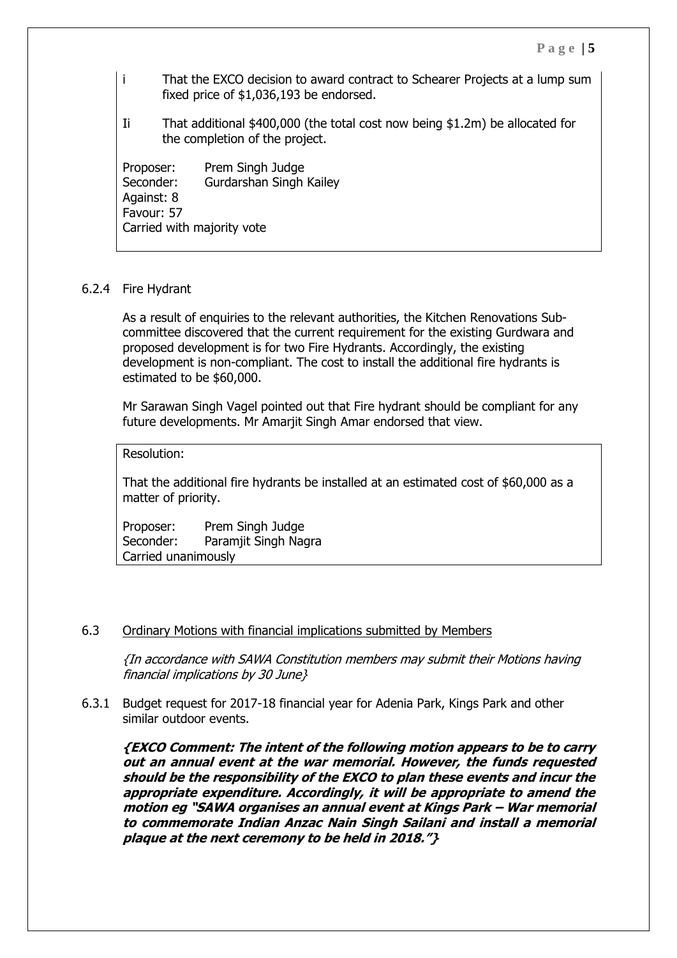- i That the EXCO decision to award contract to Schearer Projects at a lump sum fixed price of \$1,036,193 be endorsed.
- Ii That additional \$400,000 (the total cost now being \$1.2m) be allocated for the completion of the project.

Proposer: Prem Singh Judge Seconder: Gurdarshan Singh Kailey Against: 8 Favour: 57 Carried with majority vote

### 6.2.4 Fire Hydrant

As a result of enquiries to the relevant authorities, the Kitchen Renovations Subcommittee discovered that the current requirement for the existing Gurdwara and proposed development is for two Fire Hydrants. Accordingly, the existing development is non-compliant. The cost to install the additional fire hydrants is estimated to be \$60,000.

Mr Sarawan Singh Vagel pointed out that Fire hydrant should be compliant for any future developments. Mr Amarjit Singh Amar endorsed that view.

### Resolution:

That the additional fire hydrants be installed at an estimated cost of \$60,000 as a matter of priority.

Proposer: Prem Singh Judge Seconder: Paramjit Singh Nagra Carried unanimously

### 6.3 Ordinary Motions with financial implications submitted by Members

{In accordance with SAWA Constitution members may submit their Motions having financial implications by 30 June}

6.3.1 Budget request for 2017-18 financial year for Adenia Park, Kings Park and other similar outdoor events.

**{EXCO Comment: The intent of the following motion appears to be to carry out an annual event at the war memorial. However, the funds requested should be the responsibility of the EXCO to plan these events and incur the appropriate expenditure. Accordingly, it will be appropriate to amend the motion eg "SAWA organises an annual event at Kings Park – War memorial to commemorate Indian Anzac Nain Singh Sailani and install a memorial plaque at the next ceremony to be held in 2018."}**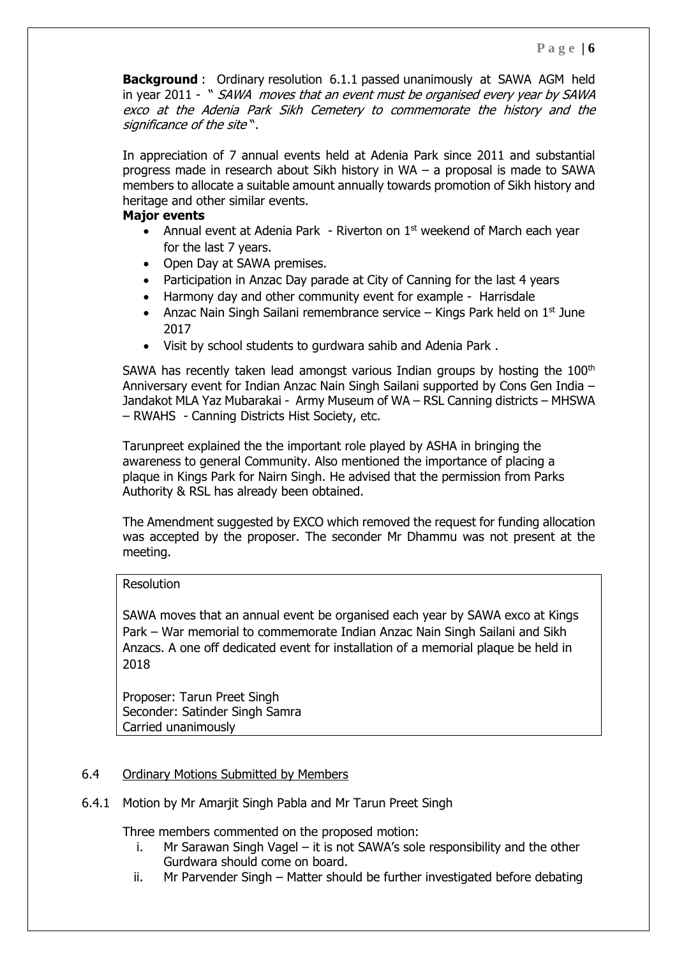**Background** : Ordinary resolution 6.1.1 passed unanimously at SAWA AGM held in year 2011 - " SAWA moves that an event must be organised every year by SAWA exco at the Adenia Park Sikh Cemetery to commemorate the history and the significance of the site ".

In appreciation of 7 annual events held at Adenia Park since 2011 and substantial progress made in research about Sikh history in WA – a proposal is made to SAWA members to allocate a suitable amount annually towards promotion of Sikh history and heritage and other similar events.

### **Major events**

- Annual event at Adenia Park Riverton on  $1<sup>st</sup>$  weekend of March each year for the last 7 years.
- Open Day at SAWA premises.
- Participation in Anzac Day parade at City of Canning for the last 4 years
- Harmony day and other community event for example Harrisdale
- Anzac Nain Singh Sailani remembrance service  $-$  Kings Park held on  $1^{st}$  June 2017
- Visit by school students to gurdwara sahib and Adenia Park .

SAWA has recently taken lead amongst various Indian groups by hosting the  $100<sup>th</sup>$ Anniversary event for Indian Anzac Nain Singh Sailani supported by Cons Gen India – Jandakot MLA Yaz Mubarakai - Army Museum of WA – RSL Canning districts – MHSWA – RWAHS - Canning Districts Hist Society, etc.

Tarunpreet explained the the important role played by ASHA in bringing the awareness to general Community. Also mentioned the importance of placing a plaque in Kings Park for Nairn Singh. He advised that the permission from Parks Authority & RSL has already been obtained.

The Amendment suggested by EXCO which removed the request for funding allocation was accepted by the proposer. The seconder Mr Dhammu was not present at the meeting.

### **Resolution**

SAWA moves that an annual event be organised each year by SAWA exco at Kings Park – War memorial to commemorate Indian Anzac Nain Singh Sailani and Sikh Anzacs. A one off dedicated event for installation of a memorial plaque be held in 2018

Proposer: Tarun Preet Singh Seconder: Satinder Singh Samra Carried unanimously

### 6.4 Ordinary Motions Submitted by Members

6.4.1 Motion by Mr Amarjit Singh Pabla and Mr Tarun Preet Singh

Three members commented on the proposed motion:

- i. Mr Sarawan Singh Vagel it is not SAWA's sole responsibility and the other Gurdwara should come on board.
- ii. Mr Parvender Singh Matter should be further investigated before debating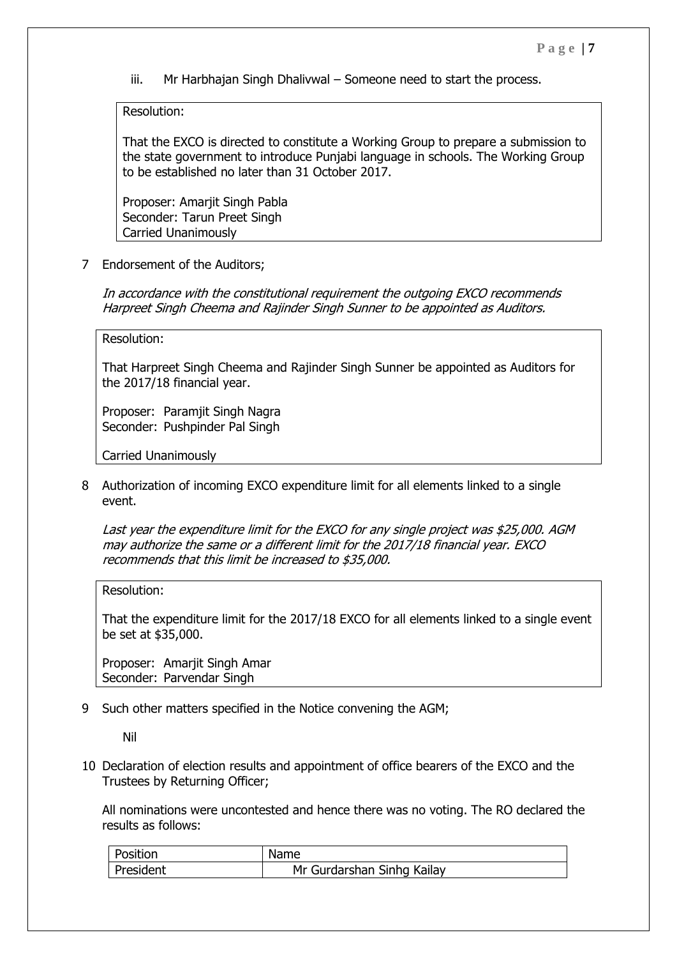iii. Mr Harbhajan Singh Dhalivwal – Someone need to start the process.

Resolution:

That the EXCO is directed to constitute a Working Group to prepare a submission to the state government to introduce Punjabi language in schools. The Working Group to be established no later than 31 October 2017.

Proposer: Amarjit Singh Pabla Seconder: Tarun Preet Singh Carried Unanimously

7 Endorsement of the Auditors;

In accordance with the constitutional requirement the outgoing EXCO recommends Harpreet Singh Cheema and Rajinder Singh Sunner to be appointed as Auditors.

Resolution:

That Harpreet Singh Cheema and Rajinder Singh Sunner be appointed as Auditors for the 2017/18 financial year.

Proposer: Paramjit Singh Nagra Seconder: Pushpinder Pal Singh

Carried Unanimously

8 Authorization of incoming EXCO expenditure limit for all elements linked to a single event.

Last year the expenditure limit for the EXCO for any single project was \$25,000. AGM may authorize the same or a different limit for the 2017/18 financial year. EXCO recommends that this limit be increased to \$35,000.

Resolution:

That the expenditure limit for the 2017/18 EXCO for all elements linked to a single event be set at \$35,000.

Proposer: Amarjit Singh Amar Seconder: Parvendar Singh

9 Such other matters specified in the Notice convening the AGM;

Nil

10 Declaration of election results and appointment of office bearers of the EXCO and the Trustees by Returning Officer;

All nominations were uncontested and hence there was no voting. The RO declared the results as follows:

| Position  | Name                       |
|-----------|----------------------------|
| President | Mr Gurdarshan Sinhg Kailay |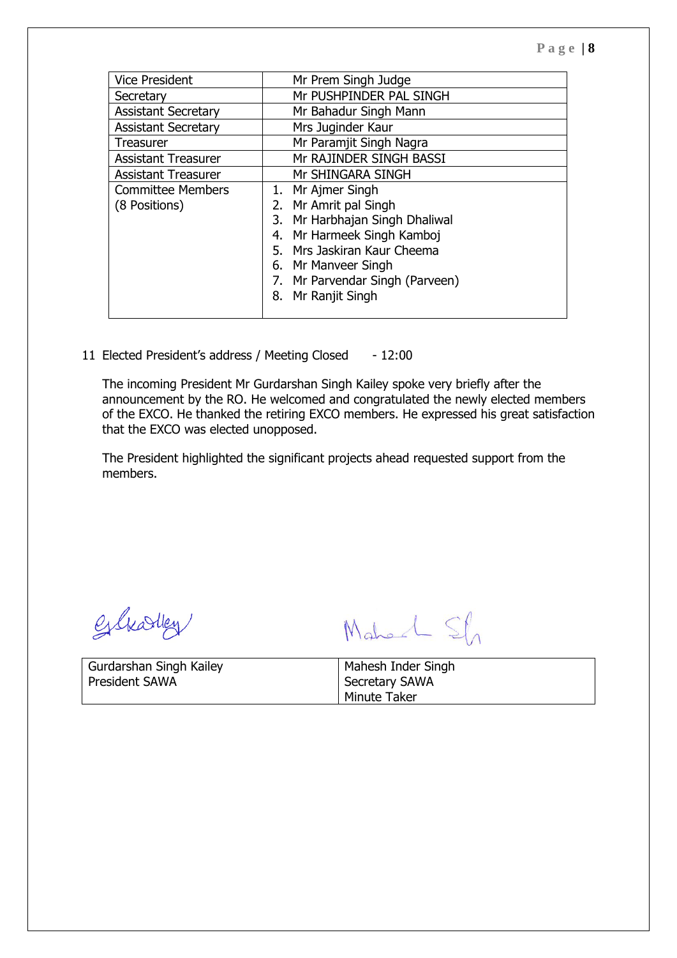| <b>Vice President</b>      | Mr Prem Singh Judge             |
|----------------------------|---------------------------------|
| Secretary                  | Mr PUSHPINDER PAL SINGH         |
| <b>Assistant Secretary</b> | Mr Bahadur Singh Mann           |
| <b>Assistant Secretary</b> | Mrs Juginder Kaur               |
| Treasurer                  | Mr Paramjit Singh Nagra         |
| <b>Assistant Treasurer</b> | Mr RAJINDER SINGH BASSI         |
| <b>Assistant Treasurer</b> | Mr SHINGARA SINGH               |
| <b>Committee Members</b>   | 1. Mr Ajmer Singh               |
| (8 Positions)              | 2. Mr Amrit pal Singh           |
|                            | 3. Mr Harbhajan Singh Dhaliwal  |
|                            | 4. Mr Harmeek Singh Kamboj      |
|                            | 5. Mrs Jaskiran Kaur Cheema     |
|                            | 6. Mr Manveer Singh             |
|                            | 7. Mr Parvendar Singh (Parveen) |
|                            | 8. Mr Ranjit Singh              |
|                            |                                 |

11 Elected President's address / Meeting Closed - 12:00

The incoming President Mr Gurdarshan Singh Kailey spoke very briefly after the announcement by the RO. He welcomed and congratulated the newly elected members of the EXCO. He thanked the retiring EXCO members. He expressed his great satisfaction that the EXCO was elected unopposed.

The President highlighted the significant projects ahead requested support from the members.

es harley

Gurdarshan Singh Ka President SAWA

Maher Sl

| iley | Mahesh Inder Singh |
|------|--------------------|
|      | Secretary SAWA     |
|      | Minute Taker       |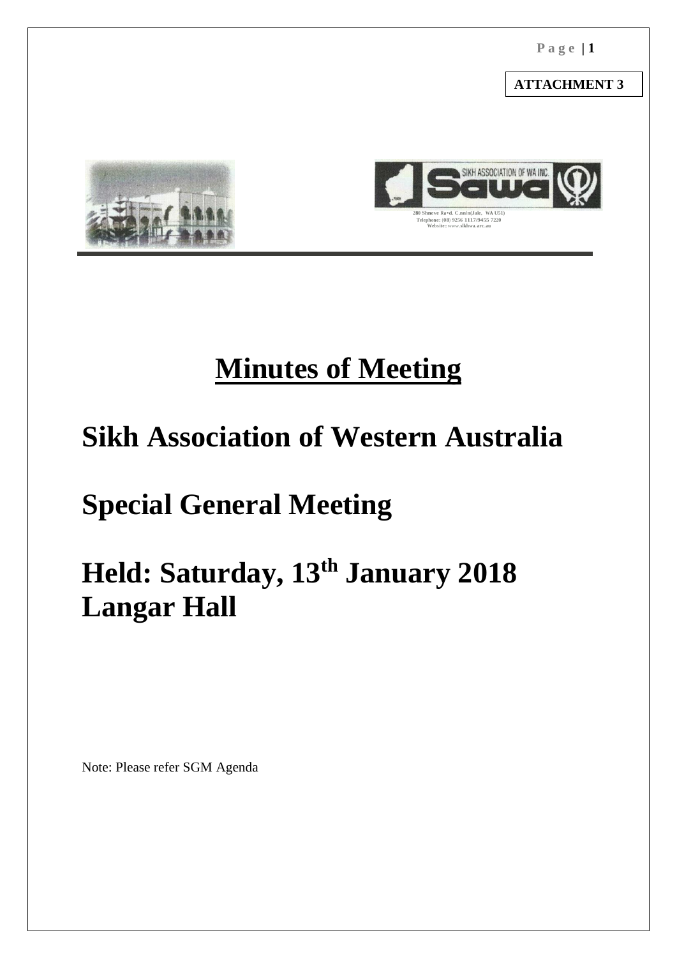**P a g e | 1**

**ATTACHMENT 3**





# **Minutes of Meeting**

# **Sikh Association of Western Australia**

# **Special General Meeting**

# **Held: Saturday, 13th January 2018 Langar Hall**

Note: Please refer SGM Agenda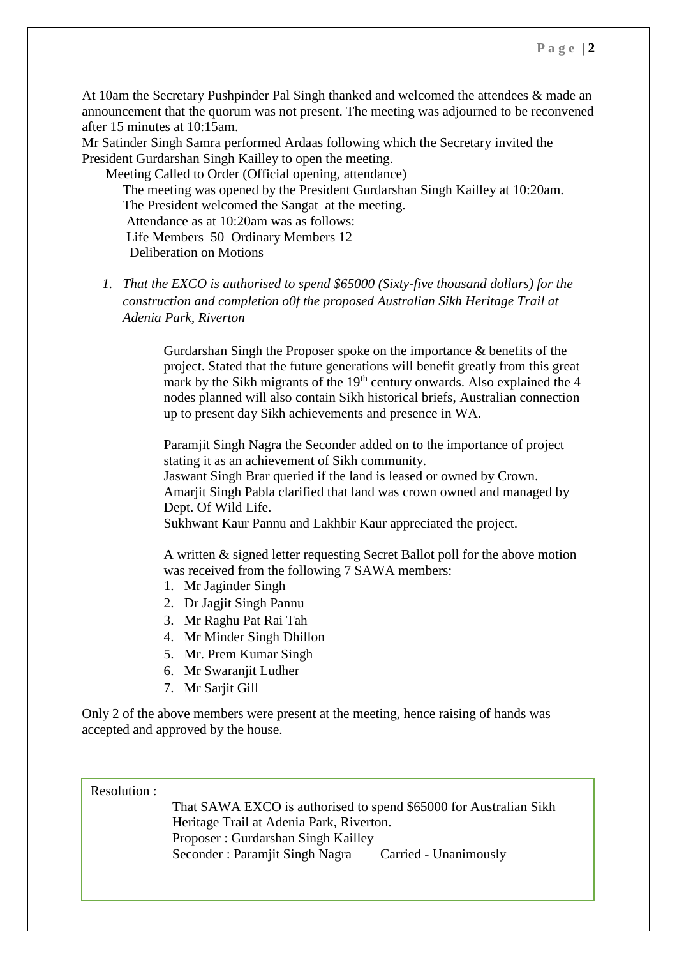At 10am the Secretary Pushpinder Pal Singh thanked and welcomed the attendees & made an announcement that the quorum was not present. The meeting was adjourned to be reconvened after 15 minutes at 10:15am.

Mr Satinder Singh Samra performed Ardaas following which the Secretary invited the President Gurdarshan Singh Kailley to open the meeting.

Meeting Called to Order (Official opening, attendance)

The meeting was opened by the President Gurdarshan Singh Kailley at 10:20am. The President welcomed the Sangat at the meeting.

Attendance as at 10:20am was as follows:

Life Members 50 Ordinary Members 12

Deliberation on Motions

*1. That the EXCO is authorised to spend \$65000 (Sixty-five thousand dollars) for the construction and completion o0f the proposed Australian Sikh Heritage Trail at Adenia Park, Riverton*

> Gurdarshan Singh the Proposer spoke on the importance & benefits of the project. Stated that the future generations will benefit greatly from this great mark by the Sikh migrants of the 19<sup>th</sup> century onwards. Also explained the 4 nodes planned will also contain Sikh historical briefs, Australian connection up to present day Sikh achievements and presence in WA.

Paramjit Singh Nagra the Seconder added on to the importance of project stating it as an achievement of Sikh community.

Jaswant Singh Brar queried if the land is leased or owned by Crown. Amarjit Singh Pabla clarified that land was crown owned and managed by Dept. Of Wild Life.

Sukhwant Kaur Pannu and Lakhbir Kaur appreciated the project.

A written & signed letter requesting Secret Ballot poll for the above motion was received from the following 7 SAWA members:

- 1. Mr Jaginder Singh
- 2. Dr Jagjit Singh Pannu
- 3. Mr Raghu Pat Rai Tah
- 4. Mr Minder Singh Dhillon
- 5. Mr. Prem Kumar Singh
- 6. Mr Swaranjit Ludher
- 7. Mr Sarjit Gill

Only 2 of the above members were present at the meeting, hence raising of hands was accepted and approved by the house.

Resolution :

That SAWA EXCO is authorised to spend \$65000 for Australian Sikh Heritage Trail at Adenia Park, Riverton. Proposer : Gurdarshan Singh Kailley Seconder : Paramjit Singh Nagra Carried - Unanimously

 $\overline{a}$ 

i<br>I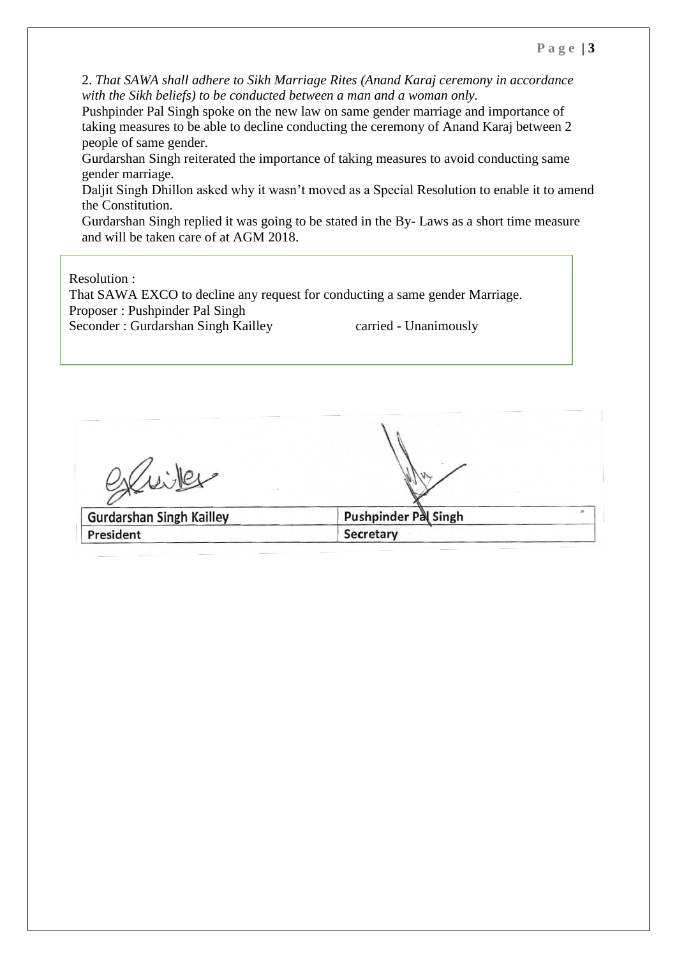2. *That SAWA shall adhere to Sikh Marriage Rites (Anand Karaj ceremony in accordance with the Sikh beliefs) to be conducted between a man and a woman only.*

Pushpinder Pal Singh spoke on the new law on same gender marriage and importance of taking measures to be able to decline conducting the ceremony of Anand Karaj between 2 people of same gender.

Gurdarshan Singh reiterated the importance of taking measures to avoid conducting same gender marriage.

Daljit Singh Dhillon asked why it wasn't moved as a Special Resolution to enable it to amend the Constitution.

Gurdarshan Singh replied it was going to be stated in the By- Laws as a short time measure and will be taken care of at AGM 2018.

### Resolution :

Seconder : Gurdarshan Singh Kailley carried - Unanimously That SAWA EXCO to decline any request for conducting a same gender Marriage. Proposer : Pushpinder Pal Singh

exhiber

| Gurdarshan Singh Kailley | Pushpinder Pal Singh |  |
|--------------------------|----------------------|--|
| President                | Secretary            |  |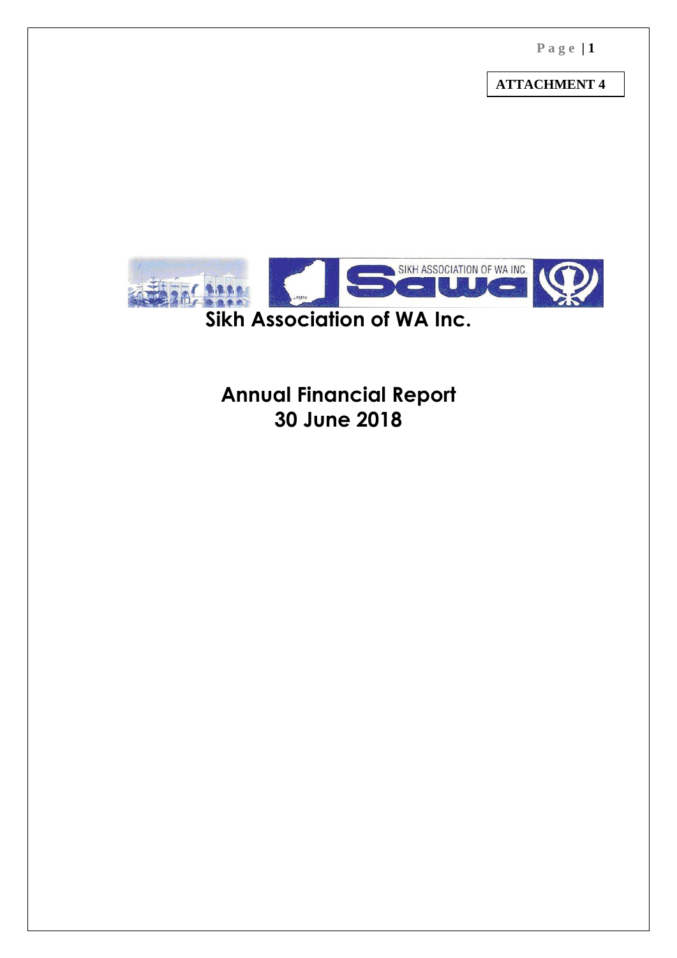**P a g e | 1**

**ATTACHMENT 4**



**Annual Financial Report 30 June 2018**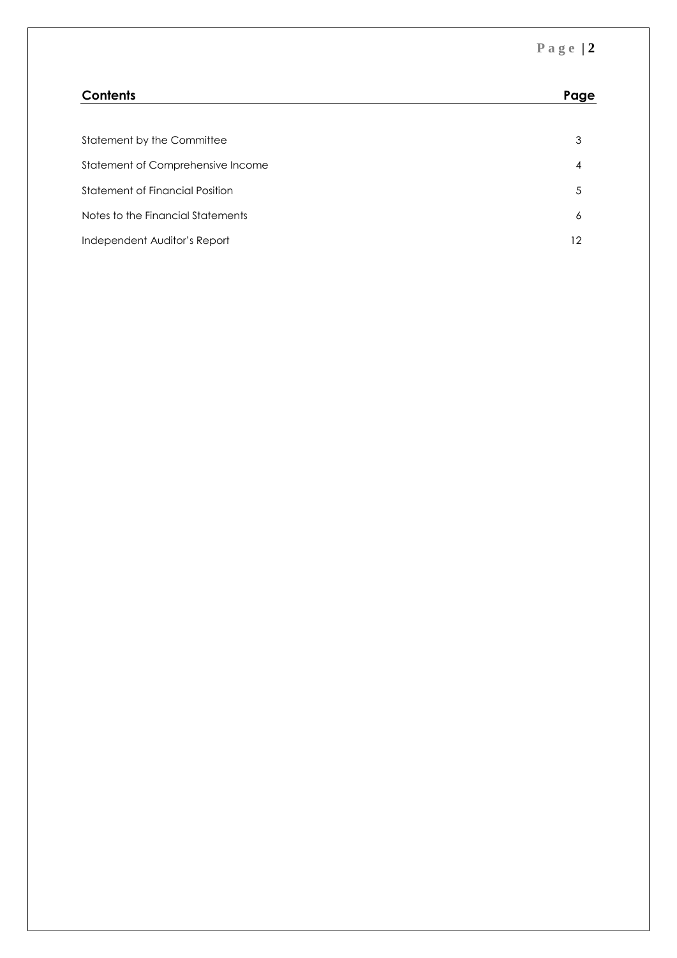# **P a g e | 2**

| <b>Contents</b>                   | Page |
|-----------------------------------|------|
|                                   |      |
| Statement by the Committee        | 3    |
| Statement of Comprehensive Income | 4    |
| Statement of Financial Position   | 5    |
| Notes to the Financial Statements | 6    |
| Independent Auditor's Report      | 12   |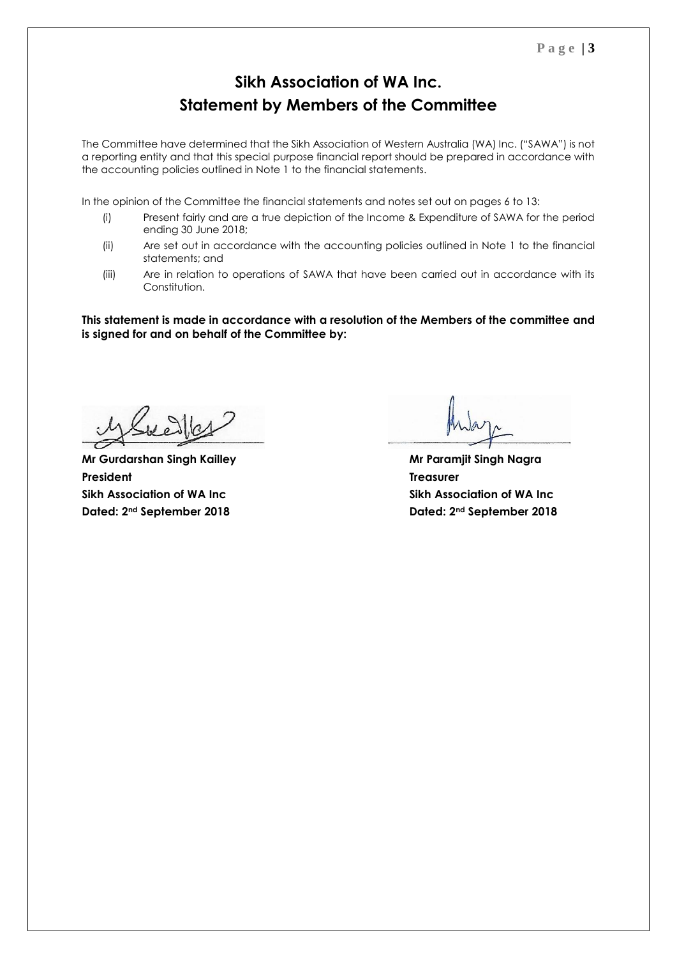# **Sikh Association of WA Inc. Statement by Members of the Committee**

The Committee have determined that the Sikh Association of Western Australia (WA) Inc. ("SAWA") is not a reporting entity and that this special purpose financial report should be prepared in accordance with the accounting policies outlined in Note 1 to the financial statements.

In the opinion of the Committee the financial statements and notes set out on pages 6 to 13:

- (i) Present fairly and are a true depiction of the Income & Expenditure of SAWA for the period ending 30 June 2018;
- (ii) Are set out in accordance with the accounting policies outlined in Note 1 to the financial statements; and
- (iii) Are in relation to operations of SAWA that have been carried out in accordance with its Constitution.

**This statement is made in accordance with a resolution of the Members of the committee and is signed for and on behalf of the Committee by:**

**Mr Gurdarshan Singh Kailley Mr Paramjit Singh Nagra President Treasurer Sikh Association of WA Inc Sikh Association of WA Inc Dated: 2nd September 2018 Dated: 2nd September 2018**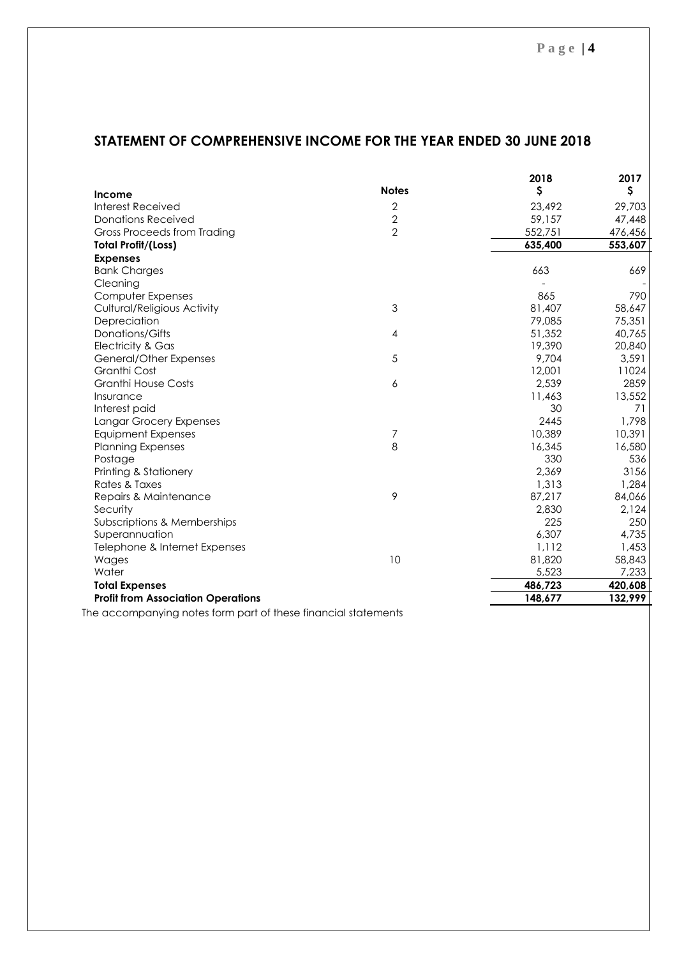# **STATEMENT OF COMPREHENSIVE INCOME FOR THE YEAR ENDED 30 JUNE 2018**

| \$<br>23,492<br>59,157<br>552,751<br>635,400<br>663<br>865 | \$<br>29,703<br>47,448<br>476,456<br>553,607 |
|------------------------------------------------------------|----------------------------------------------|
|                                                            |                                              |
|                                                            |                                              |
|                                                            |                                              |
|                                                            |                                              |
|                                                            |                                              |
|                                                            |                                              |
|                                                            | 669                                          |
|                                                            |                                              |
|                                                            | 790                                          |
| 81,407                                                     | 58,647                                       |
| 79,085                                                     | 75,351                                       |
| 51,352                                                     | 40,765                                       |
| 19,390                                                     | 20,840                                       |
| 9,704                                                      | 3,591                                        |
| 12,001                                                     | 11024                                        |
| 2,539                                                      | 2859                                         |
| 11,463                                                     | 13,552                                       |
| 30                                                         | 71                                           |
| 2445                                                       | 1,798                                        |
| 10,389                                                     | 10,391                                       |
| 16,345                                                     | 16,580                                       |
| 330                                                        | 536                                          |
| 2,369                                                      | 3156                                         |
| 1,313                                                      | 1,284                                        |
| 87,217                                                     | 84,066                                       |
| 2,830                                                      | 2,124                                        |
| 225                                                        | 250                                          |
| 6,307                                                      | 4,735                                        |
|                                                            | 1,453                                        |
| 81,820                                                     | 58,843                                       |
|                                                            | 7,233                                        |
| 486,723                                                    | 420,608                                      |
| 148,677                                                    | 132,999                                      |
|                                                            | 1,112<br>5,523                               |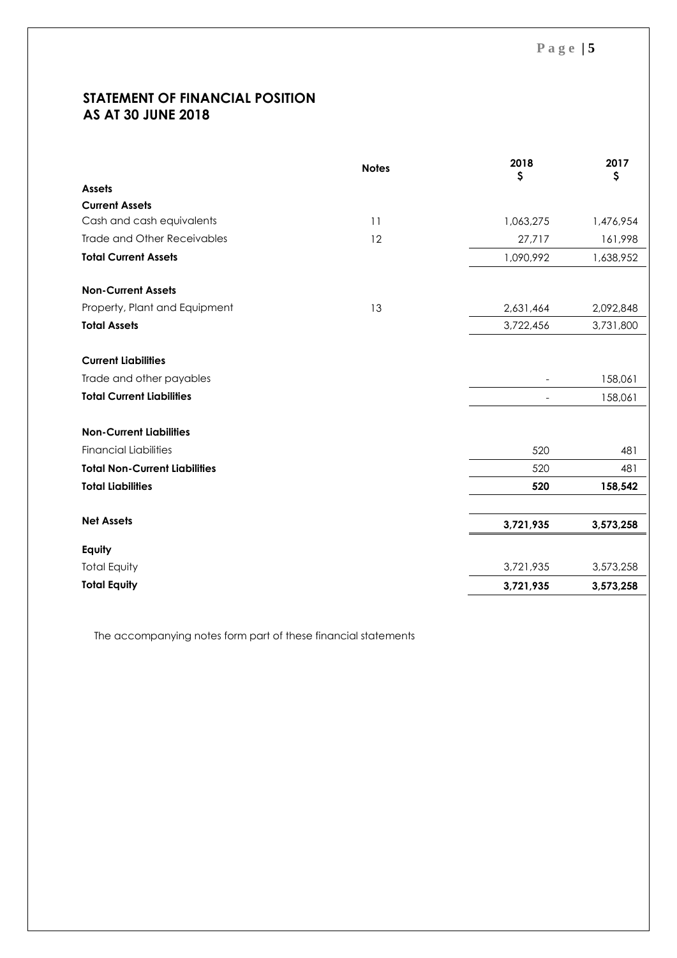## **STATEMENT OF FINANCIAL POSITION AS AT 30 JUNE 2018**

|                                      | <b>Notes</b> | 2018<br>\$ | 2017<br>\$ |
|--------------------------------------|--------------|------------|------------|
| <b>Assets</b>                        |              |            |            |
| <b>Current Assets</b>                |              |            |            |
| Cash and cash equivalents            | 11           | 1,063,275  | 1,476,954  |
| <b>Trade and Other Receivables</b>   | 12           | 27,717     | 161,998    |
| <b>Total Current Assets</b>          |              | 1,090,992  | 1,638,952  |
| <b>Non-Current Assets</b>            |              |            |            |
| Property, Plant and Equipment        | 13           | 2,631,464  | 2,092,848  |
| <b>Total Assets</b>                  |              | 3,722,456  | 3,731,800  |
| <b>Current Liabilities</b>           |              |            |            |
| Trade and other payables             |              |            | 158,061    |
| <b>Total Current Liabilities</b>     |              |            | 158,061    |
| <b>Non-Current Liabilities</b>       |              |            |            |
| <b>Financial Liabilities</b>         |              | 520        | 481        |
| <b>Total Non-Current Liabilities</b> |              | 520        | 481        |
| <b>Total Liabilities</b>             |              | 520        | 158,542    |
| <b>Net Assets</b>                    |              | 3,721,935  | 3,573,258  |
| Equity                               |              |            |            |
| <b>Total Equity</b>                  |              | 3,721,935  | 3,573,258  |
| <b>Total Equity</b>                  |              | 3,721,935  | 3,573,258  |

The accompanying notes form part of these financial statements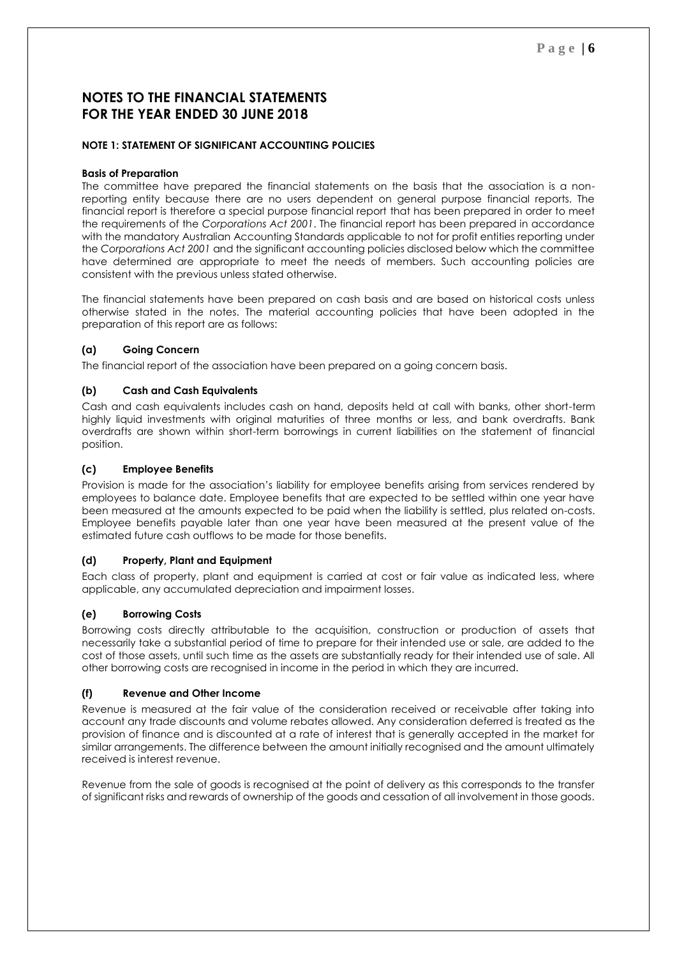### **NOTE 1: STATEMENT OF SIGNIFICANT ACCOUNTING POLICIES**

### **Basis of Preparation**

The committee have prepared the financial statements on the basis that the association is a nonreporting entity because there are no users dependent on general purpose financial reports. The financial report is therefore a special purpose financial report that has been prepared in order to meet the requirements of the *Corporations Act 2001*. The financial report has been prepared in accordance with the mandatory Australian Accounting Standards applicable to not for profit entities reporting under the *Corporations Act 2001* and the significant accounting policies disclosed below which the committee have determined are appropriate to meet the needs of members. Such accounting policies are consistent with the previous unless stated otherwise.

The financial statements have been prepared on cash basis and are based on historical costs unless otherwise stated in the notes. The material accounting policies that have been adopted in the preparation of this report are as follows:

### **(a) Going Concern**

The financial report of the association have been prepared on a going concern basis.

### **(b) Cash and Cash Equivalents**

Cash and cash equivalents includes cash on hand, deposits held at call with banks, other short-term highly liquid investments with original maturities of three months or less, and bank overdrafts. Bank overdrafts are shown within short-term borrowings in current liabilities on the statement of financial position.

### **(c) Employee Benefits**

Provision is made for the association's liability for employee benefits arising from services rendered by employees to balance date. Employee benefits that are expected to be settled within one year have been measured at the amounts expected to be paid when the liability is settled, plus related on-costs. Employee benefits payable later than one year have been measured at the present value of the estimated future cash outflows to be made for those benefits.

#### **(d) Property, Plant and Equipment**

Each class of property, plant and equipment is carried at cost or fair value as indicated less, where applicable, any accumulated depreciation and impairment losses.

### **(e) Borrowing Costs**

Borrowing costs directly attributable to the acquisition, construction or production of assets that necessarily take a substantial period of time to prepare for their intended use or sale, are added to the cost of those assets, until such time as the assets are substantially ready for their intended use of sale. All other borrowing costs are recognised in income in the period in which they are incurred.

#### **(f) Revenue and Other Income**

Revenue is measured at the fair value of the consideration received or receivable after taking into account any trade discounts and volume rebates allowed. Any consideration deferred is treated as the provision of finance and is discounted at a rate of interest that is generally accepted in the market for similar arrangements. The difference between the amount initially recognised and the amount ultimately received is interest revenue.

Revenue from the sale of goods is recognised at the point of delivery as this corresponds to the transfer of significant risks and rewards of ownership of the goods and cessation of all involvement in those goods.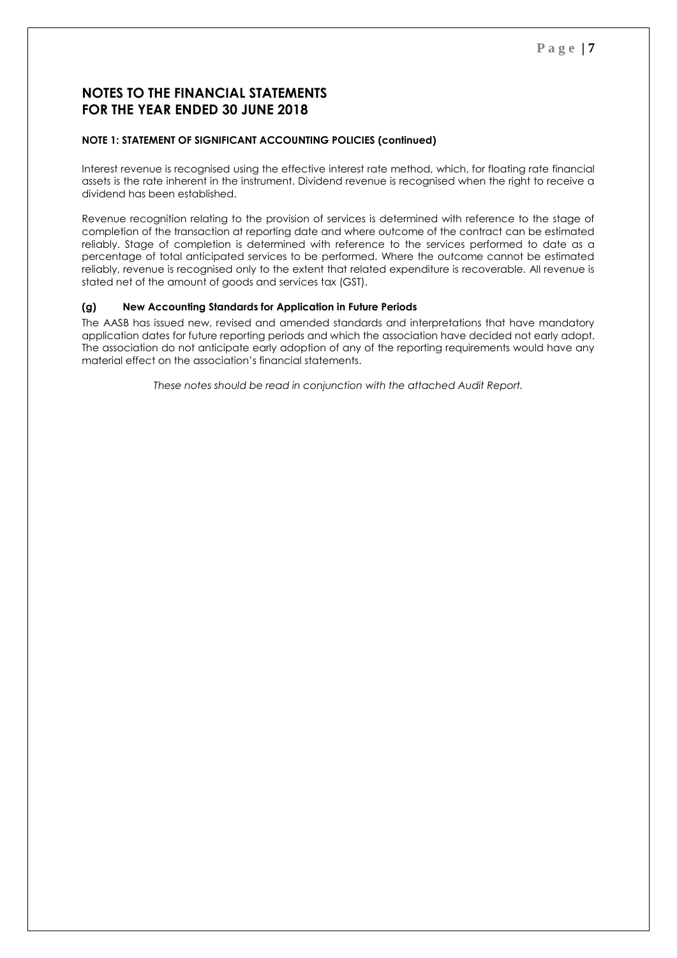### **NOTE 1: STATEMENT OF SIGNIFICANT ACCOUNTING POLICIES (continued)**

Interest revenue is recognised using the effective interest rate method, which, for floating rate financial assets is the rate inherent in the instrument. Dividend revenue is recognised when the right to receive a dividend has been established.

Revenue recognition relating to the provision of services is determined with reference to the stage of completion of the transaction at reporting date and where outcome of the contract can be estimated reliably. Stage of completion is determined with reference to the services performed to date as a percentage of total anticipated services to be performed. Where the outcome cannot be estimated reliably, revenue is recognised only to the extent that related expenditure is recoverable. All revenue is stated net of the amount of goods and services tax (GST).

### **(g) New Accounting Standards for Application in Future Periods**

The AASB has issued new, revised and amended standards and interpretations that have mandatory application dates for future reporting periods and which the association have decided not early adopt. The association do not anticipate early adoption of any of the reporting requirements would have any material effect on the association's financial statements.

*These notes should be read in conjunction with the attached Audit Report.*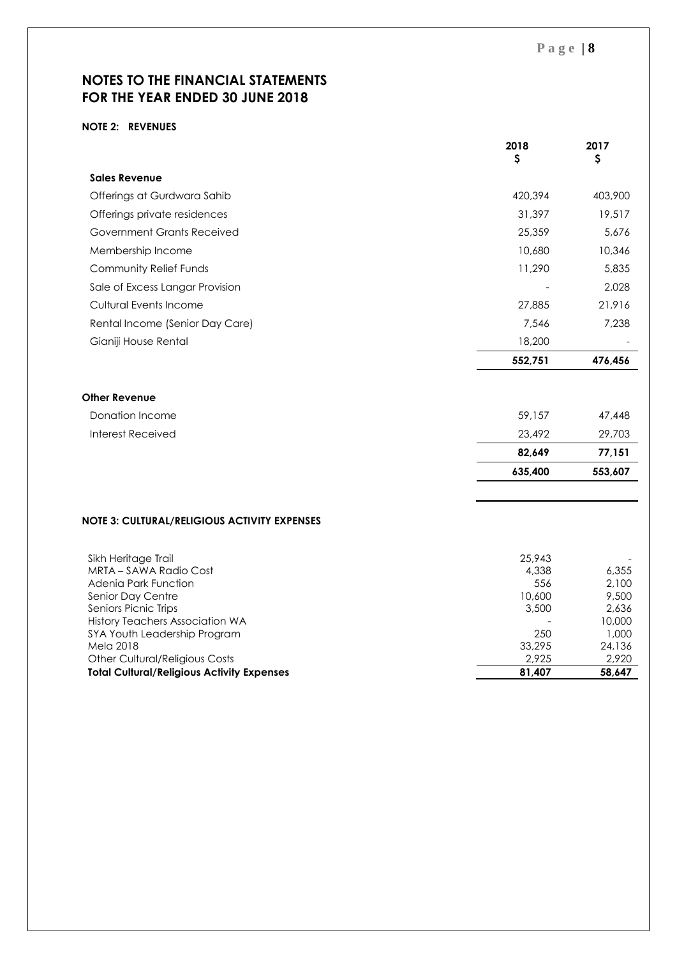### **NOTE 2: REVENUES**

|                                                         | 2018<br>\$ | 2017<br>\$      |
|---------------------------------------------------------|------------|-----------------|
| <b>Sales Revenue</b>                                    |            |                 |
| Offerings at Gurdwara Sahib                             | 420,394    | 403,900         |
| Offerings private residences                            | 31,397     | 19,517          |
| <b>Government Grants Received</b>                       | 25,359     | 5,676           |
| Membership Income                                       | 10,680     | 10,346          |
| <b>Community Relief Funds</b>                           | 11,290     | 5,835           |
| Sale of Excess Langar Provision                         |            | 2,028           |
| <b>Cultural Events Income</b>                           | 27,885     | 21,916          |
| Rental Income (Senior Day Care)                         | 7,546      | 7,238           |
| Gianiji House Rental                                    | 18,200     |                 |
|                                                         | 552,751    | 476,456         |
| <b>Other Revenue</b>                                    |            |                 |
| Donation Income                                         | 59,157     | 47,448          |
| Interest Received                                       | 23,492     | 29,703          |
|                                                         | 82,649     | 77,151          |
|                                                         | 635,400    | 553,607         |
|                                                         |            |                 |
| <b>NOTE 3: CULTURAL/RELIGIOUS ACTIVITY EXPENSES</b>     |            |                 |
| Sikh Heritage Trail                                     | 25,943     |                 |
| MRTA - SAWA Radio Cost                                  | 4,338      | 6,355           |
| <b>Adenia Park Function</b>                             | 556        | 2,100           |
| Senior Day Centre                                       | 10,600     | 9,500           |
| Seniors Picnic Trips<br>History Teachers Association WA | 3,500      | 2,636<br>10,000 |
| SYA Youth Leadership Program                            | 250        | 1,000           |
| <b>Mela 2018</b>                                        | 33,295     | 24,136          |
| Other Cultural/Religious Costs                          | 2,925      | 2,920           |
| <b>Total Cultural/Religious Activity Expenses</b>       | 81,407     | 58,647          |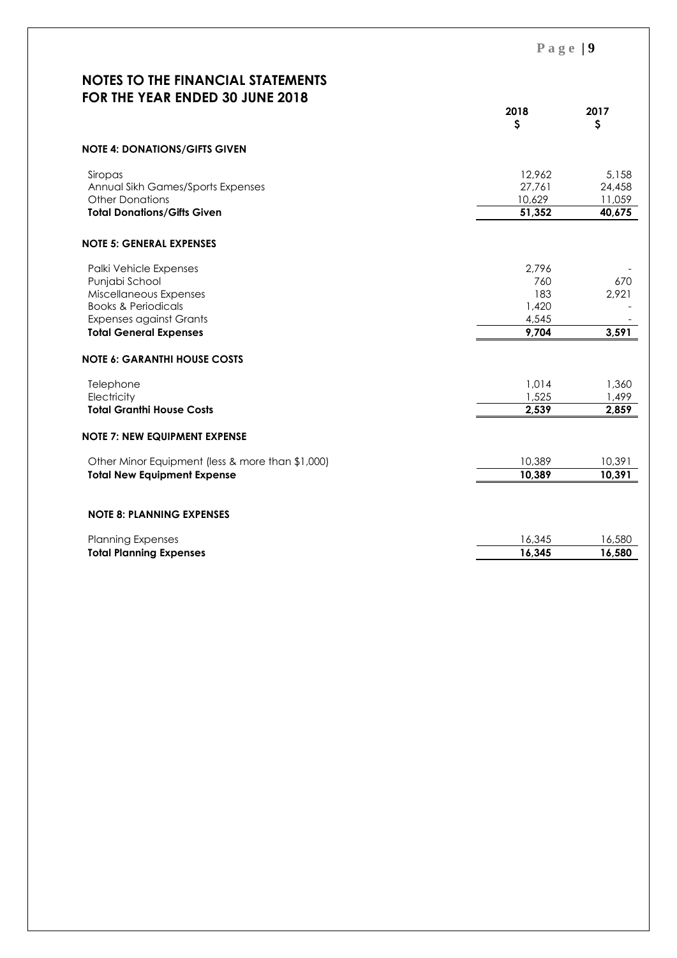# **P a g e | 9**

## **NOTES TO THE FINANCIAL STATEMENTS FOR THE YEAR ENDED 30 JUNE 2018**

|                                                  | 2018<br>\$ | 2017<br>\$ |
|--------------------------------------------------|------------|------------|
| <b>NOTE 4: DONATIONS/GIFTS GIVEN</b>             |            |            |
| Siropas                                          | 12,962     | 5,158      |
| Annual Sikh Games/Sports Expenses                | 27,761     | 24,458     |
| <b>Other Donations</b>                           | 10,629     | 11,059     |
| <b>Total Donations/Gifts Given</b>               | 51,352     | 40,675     |
| <b>NOTE 5: GENERAL EXPENSES</b>                  |            |            |
| Palki Vehicle Expenses                           | 2,796      |            |
| Punjabi School                                   | 760        | 670        |
| Miscellaneous Expenses                           | 183        | 2,921      |
| <b>Books &amp; Periodicals</b>                   | 1,420      |            |
| <b>Expenses against Grants</b>                   | 4,545      |            |
| <b>Total General Expenses</b>                    | 9,704      | 3,591      |
| <b>NOTE 6: GARANTHI HOUSE COSTS</b>              |            |            |
| Telephone                                        | 1,014      | 1,360      |
| Electricity                                      | 1,525      | 1,499      |
| <b>Total Granthi House Costs</b>                 | 2,539      | 2,859      |
| <b>NOTE 7: NEW EQUIPMENT EXPENSE</b>             |            |            |
| Other Minor Equipment (less & more than \$1,000) | 10,389     | 10,391     |
| <b>Total New Equipment Expense</b>               | 10,389     | 10,391     |
| <b>NOTE 8: PLANNING EXPENSES</b>                 |            |            |
| <b>Planning Expenses</b>                         | 16,345     | 16,580     |
| <b>Total Planning Expenses</b>                   | 16,345     | 16,580     |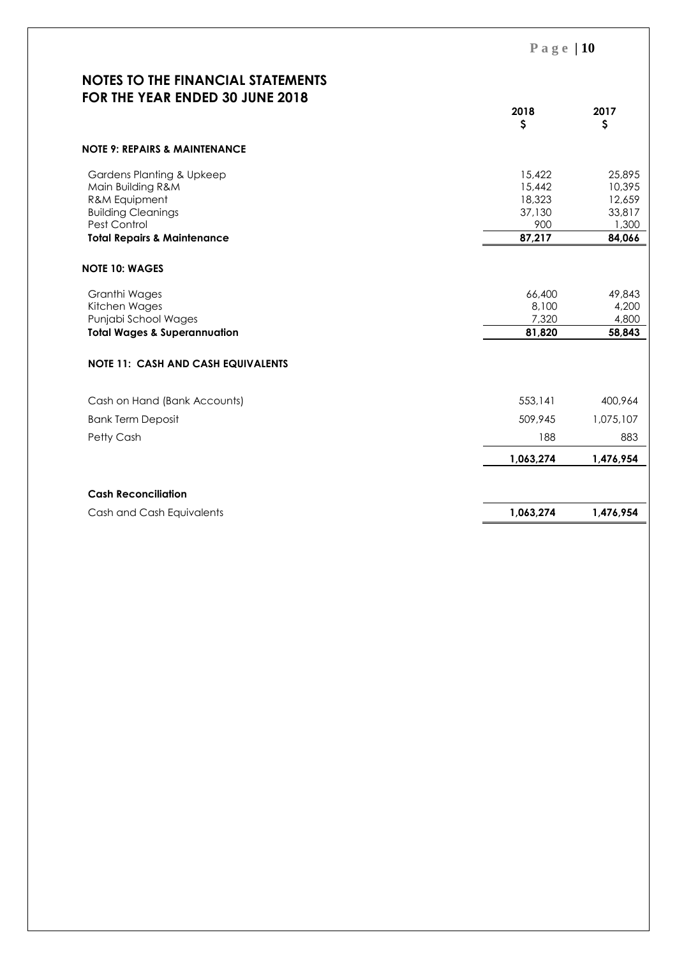|                                                        | 2018<br>\$    | 2017<br>\$      |
|--------------------------------------------------------|---------------|-----------------|
| <b>NOTE 9: REPAIRS &amp; MAINTENANCE</b>               |               |                 |
| Gardens Planting & Upkeep                              | 15,422        | 25,895          |
| Main Building R&M                                      | 15,442        | 10,395          |
| R&M Equipment                                          | 18,323        | 12,659          |
| <b>Building Cleanings</b>                              | 37,130        | 33,817          |
| Pest Control<br><b>Total Repairs &amp; Maintenance</b> | 900<br>87,217 | 1,300<br>84,066 |
|                                                        |               |                 |
| <b>NOTE 10: WAGES</b>                                  |               |                 |
| Granthi Wages                                          | 66,400        | 49,843          |
| Kitchen Wages                                          | 8,100         | 4,200           |
| Punjabi School Wages                                   | 7,320         | 4,800           |
| <b>Total Wages &amp; Superannuation</b>                | 81,820        | 58,843          |
| <b>NOTE 11: CASH AND CASH EQUIVALENTS</b>              |               |                 |
| Cash on Hand (Bank Accounts)                           | 553,141       | 400,964         |
| <b>Bank Term Deposit</b>                               | 509,945       | 1,075,107       |
| Petty Cash                                             | 188           | 883             |
|                                                        | 1,063,274     | 1,476,954       |
| <b>Cash Reconciliation</b>                             |               |                 |
| Cash and Cash Equivalents                              | 1,063,274     | 1,476,954       |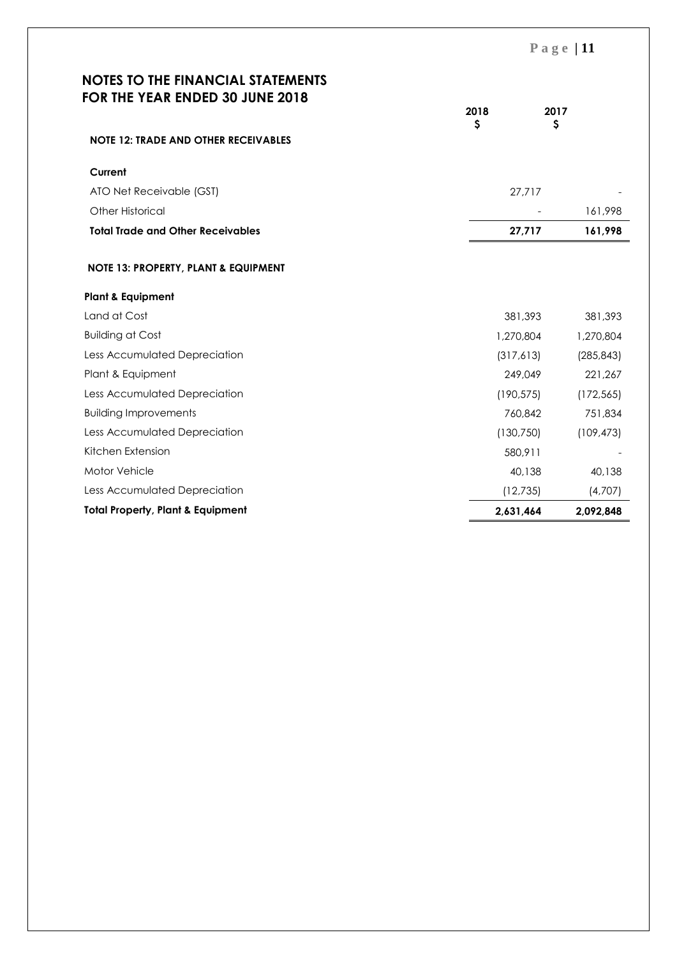| <b>NOTES TO THE FINANCIAL STATEMENTS</b><br>FOR THE YEAR ENDED 30 JUNE 2018 |            |            |  |
|-----------------------------------------------------------------------------|------------|------------|--|
|                                                                             | 2018       | 2017       |  |
| <b>NOTE 12: TRADE AND OTHER RECEIVABLES</b>                                 | \$         | \$         |  |
| Current                                                                     |            |            |  |
| ATO Net Receivable (GST)                                                    | 27,717     |            |  |
| <b>Other Historical</b>                                                     |            | 161,998    |  |
| <b>Total Trade and Other Receivables</b>                                    | 27,717     | 161,998    |  |
| <b>NOTE 13: PROPERTY, PLANT &amp; EQUIPMENT</b>                             |            |            |  |
| <b>Plant &amp; Equipment</b>                                                |            |            |  |
| Land at Cost                                                                | 381,393    | 381,393    |  |
| <b>Building at Cost</b>                                                     | 1,270,804  | 1,270,804  |  |
| Less Accumulated Depreciation                                               | (317,613)  | (285, 843) |  |
| Plant & Equipment                                                           | 249,049    | 221,267    |  |
| Less Accumulated Depreciation                                               | (190, 575) | (172, 565) |  |
| <b>Building Improvements</b>                                                | 760,842    | 751,834    |  |
| Less Accumulated Depreciation                                               | (130, 750) | (109, 473) |  |
| Kitchen Extension                                                           | 580,911    |            |  |
| Motor Vehicle                                                               | 40,138     | 40,138     |  |
| Less Accumulated Depreciation                                               | (12, 735)  | (4,707)    |  |
| <b>Total Property, Plant &amp; Equipment</b>                                | 2,631,464  | 2,092,848  |  |

**P a g e | 11**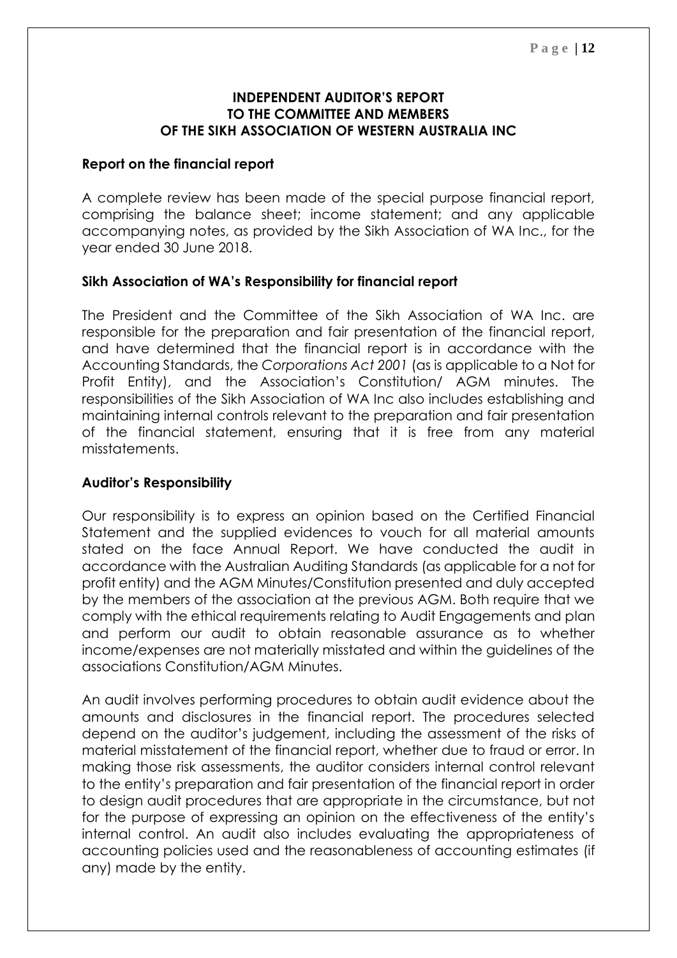### **INDEPENDENT AUDITOR'S REPORT TO THE COMMITTEE AND MEMBERS OF THE SIKH ASSOCIATION OF WESTERN AUSTRALIA INC**

### **Report on the financial report**

A complete review has been made of the special purpose financial report, comprising the balance sheet; income statement; and any applicable accompanying notes, as provided by the Sikh Association of WA Inc., for the year ended 30 June 2018.

### **Sikh Association of WA's Responsibility for financial report**

The President and the Committee of the Sikh Association of WA Inc. are responsible for the preparation and fair presentation of the financial report, and have determined that the financial report is in accordance with the Accounting Standards, the *Corporations Act 2001* (as is applicable to a Not for Profit Entity), and the Association's Constitution/ AGM minutes. The responsibilities of the Sikh Association of WA Inc also includes establishing and maintaining internal controls relevant to the preparation and fair presentation of the financial statement, ensuring that it is free from any material misstatements.

### **Auditor's Responsibility**

Our responsibility is to express an opinion based on the Certified Financial Statement and the supplied evidences to vouch for all material amounts stated on the face Annual Report. We have conducted the audit in accordance with the Australian Auditing Standards (as applicable for a not for profit entity) and the AGM Minutes/Constitution presented and duly accepted by the members of the association at the previous AGM. Both require that we comply with the ethical requirements relating to Audit Engagements and plan and perform our audit to obtain reasonable assurance as to whether income/expenses are not materially misstated and within the guidelines of the associations Constitution/AGM Minutes.

An audit involves performing procedures to obtain audit evidence about the amounts and disclosures in the financial report. The procedures selected depend on the auditor's judgement, including the assessment of the risks of material misstatement of the financial report, whether due to fraud or error. In making those risk assessments, the auditor considers internal control relevant to the entity's preparation and fair presentation of the financial report in order to design audit procedures that are appropriate in the circumstance, but not for the purpose of expressing an opinion on the effectiveness of the entity's internal control. An audit also includes evaluating the appropriateness of accounting policies used and the reasonableness of accounting estimates (if any) made by the entity.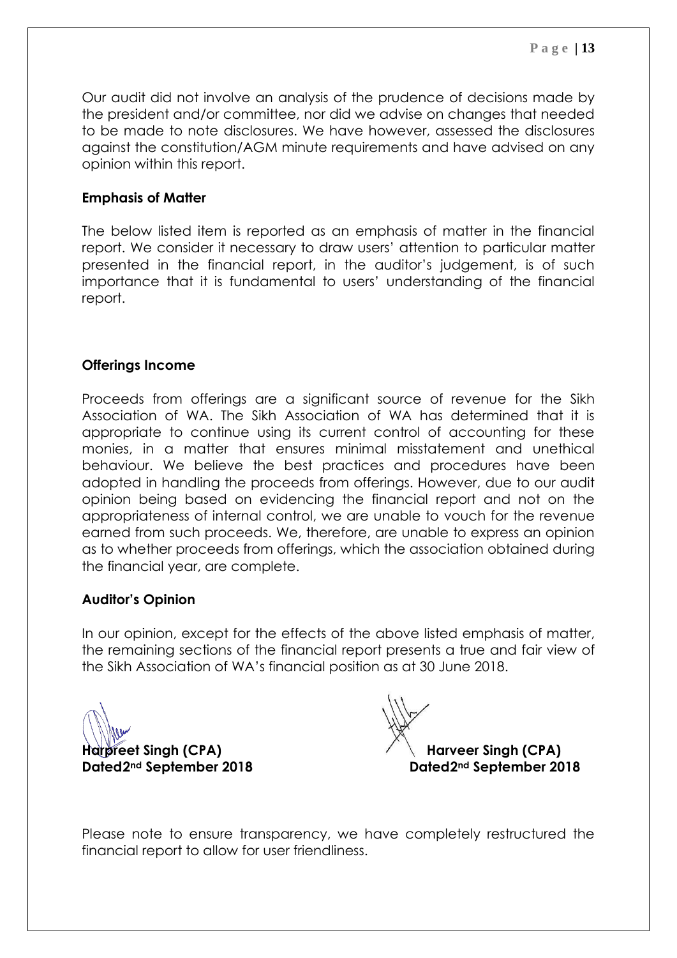Our audit did not involve an analysis of the prudence of decisions made by the president and/or committee, nor did we advise on changes that needed to be made to note disclosures. We have however, assessed the disclosures against the constitution/AGM minute requirements and have advised on any opinion within this report.

### **Emphasis of Matter**

The below listed item is reported as an emphasis of matter in the financial report. We consider it necessary to draw users' attention to particular matter presented in the financial report, in the auditor's judgement, is of such importance that it is fundamental to users' understanding of the financial report.

### **Offerings Income**

Proceeds from offerings are a significant source of revenue for the Sikh Association of WA. The Sikh Association of WA has determined that it is appropriate to continue using its current control of accounting for these monies, in a matter that ensures minimal misstatement and unethical behaviour. We believe the best practices and procedures have been adopted in handling the proceeds from offerings. However, due to our audit opinion being based on evidencing the financial report and not on the appropriateness of internal control, we are unable to vouch for the revenue earned from such proceeds. We, therefore, are unable to express an opinion as to whether proceeds from offerings, which the association obtained during the financial year, are complete.

### **Auditor's Opinion**

In our opinion, except for the effects of the above listed emphasis of matter, the remaining sections of the financial report presents a true and fair view of the Sikh Association of WA's financial position as at 30 June 2018.

Harpreet Singh (CPA) **Harveer Singh (CPA) Dated2nd September 2018 Dated2nd September 2018**

Please note to ensure transparency, we have completely restructured the financial report to allow for user friendliness.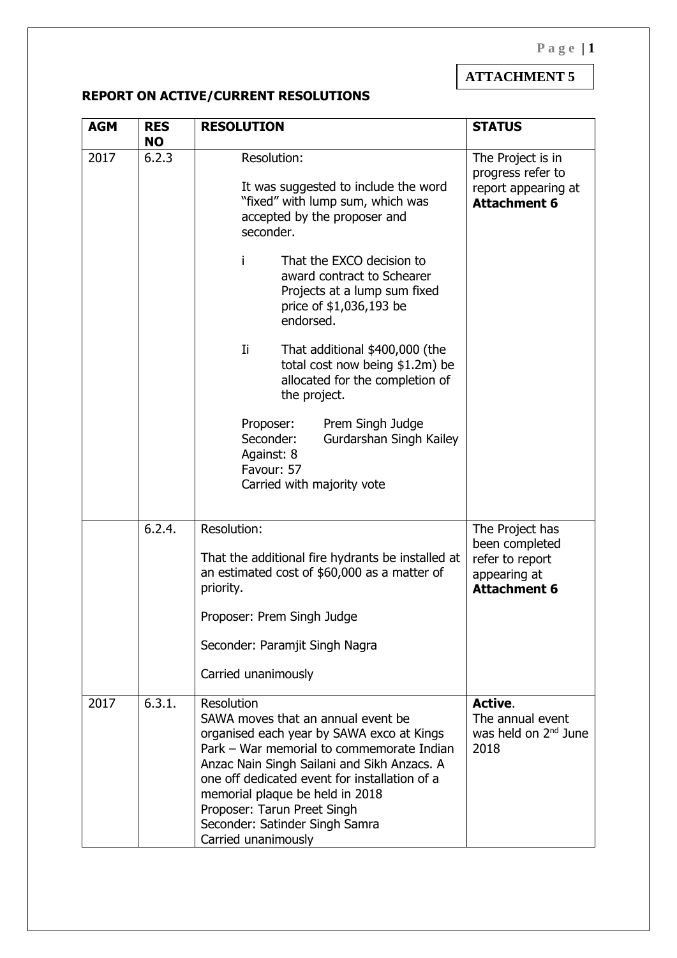**P a g e | 1**

**ATTACHMENT 5**

## **REPORT ON ACTIVE/CURRENT RESOLUTIONS**

| <b>AGM</b> | <b>RES</b><br><b>NO</b> | <b>RESOLUTION</b>                                                                                                                                                                                                                                                                                                                                                     | <b>STATUS</b>                                                                               |
|------------|-------------------------|-----------------------------------------------------------------------------------------------------------------------------------------------------------------------------------------------------------------------------------------------------------------------------------------------------------------------------------------------------------------------|---------------------------------------------------------------------------------------------|
| 2017       | 6.2.3                   | Resolution:<br>It was suggested to include the word<br>"fixed" with lump sum, which was<br>accepted by the proposer and<br>seconder.                                                                                                                                                                                                                                  | The Project is in<br>progress refer to<br>report appearing at<br><b>Attachment 6</b>        |
|            |                         | That the EXCO decision to<br>Ť<br>award contract to Schearer<br>Projects at a lump sum fixed<br>price of \$1,036,193 be<br>endorsed.                                                                                                                                                                                                                                  |                                                                                             |
|            |                         | That additional \$400,000 (the<br>Ιi<br>total cost now being \$1.2m) be<br>allocated for the completion of<br>the project.                                                                                                                                                                                                                                            |                                                                                             |
|            |                         | Proposer:<br>Prem Singh Judge<br>Seconder:<br>Gurdarshan Singh Kailey<br>Against: 8<br>Favour: 57<br>Carried with majority vote                                                                                                                                                                                                                                       |                                                                                             |
|            | 6.2.4.                  | Resolution:<br>That the additional fire hydrants be installed at<br>an estimated cost of \$60,000 as a matter of<br>priority.<br>Proposer: Prem Singh Judge<br>Seconder: Paramjit Singh Nagra<br>Carried unanimously                                                                                                                                                  | The Project has<br>been completed<br>refer to report<br>appearing at<br><b>Attachment 6</b> |
| 2017       | 6.3.1.                  | Resolution<br>SAWA moves that an annual event be<br>organised each year by SAWA exco at Kings<br>Park – War memorial to commemorate Indian<br>Anzac Nain Singh Sailani and Sikh Anzacs. A<br>one off dedicated event for installation of a<br>memorial plaque be held in 2018<br>Proposer: Tarun Preet Singh<br>Seconder: Satinder Singh Samra<br>Carried unanimously | Active.<br>The annual event<br>was held on 2 <sup>nd</sup> June<br>2018                     |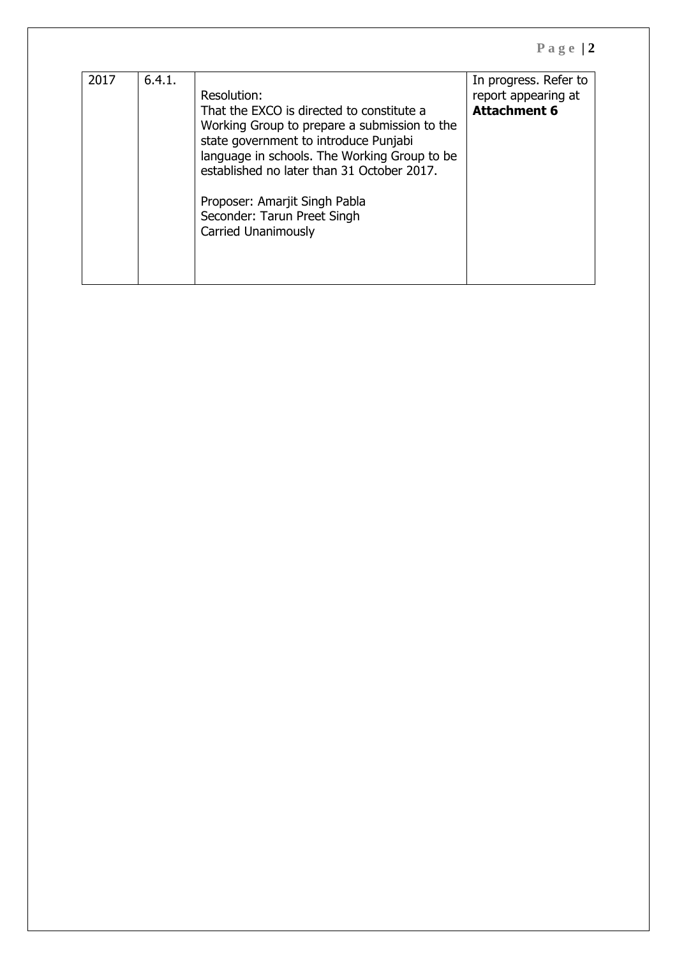| 2017 | 6.4.1. | Resolution:<br>That the EXCO is directed to constitute a<br>Working Group to prepare a submission to the<br>state government to introduce Punjabi<br>language in schools. The Working Group to be<br>established no later than 31 October 2017.<br>Proposer: Amarjit Singh Pabla<br>Seconder: Tarun Preet Singh<br><b>Carried Unanimously</b> | In progress. Refer to<br>report appearing at<br><b>Attachment 6</b> |
|------|--------|-----------------------------------------------------------------------------------------------------------------------------------------------------------------------------------------------------------------------------------------------------------------------------------------------------------------------------------------------|---------------------------------------------------------------------|
|------|--------|-----------------------------------------------------------------------------------------------------------------------------------------------------------------------------------------------------------------------------------------------------------------------------------------------------------------------------------------------|---------------------------------------------------------------------|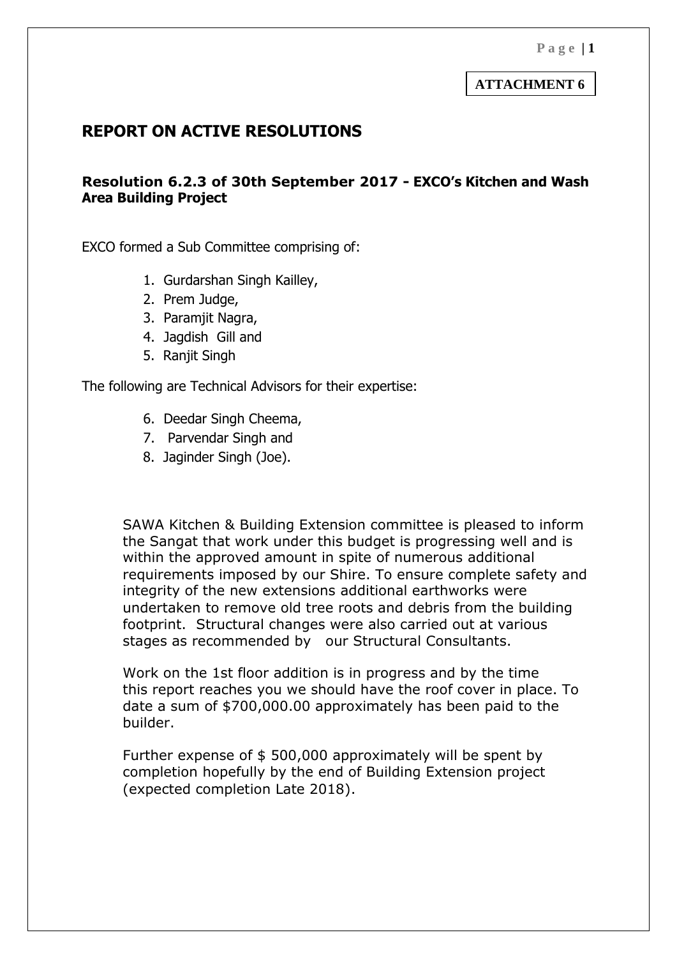**ATTACHMENT 6**

# **REPORT ON ACTIVE RESOLUTIONS**

### **Resolution 6.2.3 of 30th September 2017 - EXCO's Kitchen and Wash Area Building Project**

EXCO formed a Sub Committee comprising of:

- 1. Gurdarshan Singh Kailley,
- 2. Prem Judge,
- 3. Paramjit Nagra,
- 4. Jagdish Gill and
- 5. Ranjit Singh

The following are Technical Advisors for their expertise:

- 6. Deedar Singh Cheema,
- 7. Parvendar Singh and
- 8. Jaginder Singh (Joe).

SAWA Kitchen & Building Extension committee is pleased to inform the Sangat that work under this budget is progressing well and is within the approved amount in spite of numerous additional requirements imposed by our Shire. To ensure complete safety and integrity of the new extensions additional earthworks were undertaken to remove old tree roots and debris from the building footprint. Structural changes were also carried out at various stages as recommended by our Structural Consultants.

Work on the 1st floor addition is in progress and by the time this report reaches you we should have the roof cover in place. To date a sum of \$700,000.00 approximately has been paid to the builder.

Further expense of \$ 500,000 approximately will be spent by completion hopefully by the end of Building Extension project (expected completion Late 2018).